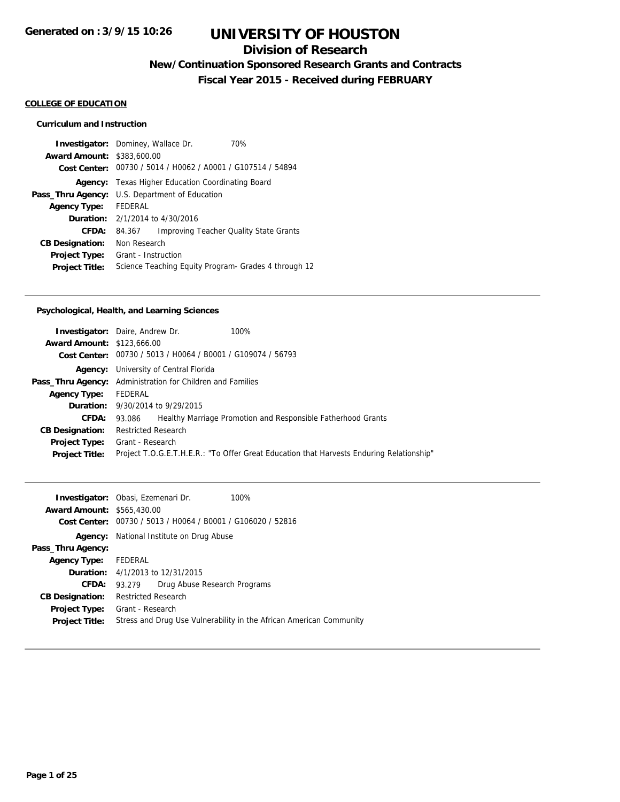## **Division of Research**

**New/Continuation Sponsored Research Grants and Contracts**

**Fiscal Year 2015 - Received during FEBRUARY**

### **COLLEGE OF EDUCATION**

### **Curriculum and Instruction**

|                                   | <b>Investigator:</b> Dominey, Wallace Dr.<br>70%            |  |  |
|-----------------------------------|-------------------------------------------------------------|--|--|
| <b>Award Amount: \$383,600.00</b> |                                                             |  |  |
|                                   | Cost Center: 00730 / 5014 / H0062 / A0001 / G107514 / 54894 |  |  |
| Agency:                           | Texas Higher Education Coordinating Board                   |  |  |
|                                   | Pass_Thru Agency: U.S. Department of Education              |  |  |
| <b>Agency Type:</b>               | <b>FFDFRAL</b>                                              |  |  |
|                                   | <b>Duration:</b> 2/1/2014 to 4/30/2016                      |  |  |
| <b>CFDA:</b>                      | Improving Teacher Quality State Grants<br>84.367            |  |  |
| <b>CB Designation:</b>            | Non Research                                                |  |  |
| <b>Project Type:</b>              | Grant - Instruction                                         |  |  |
| <b>Project Title:</b>             | Science Teaching Equity Program- Grades 4 through 12        |  |  |

### **Psychological, Health, and Learning Sciences**

|                                   | <b>Investigator:</b> Daire, Andrew Dr.                            | 100%                                                                                     |  |  |
|-----------------------------------|-------------------------------------------------------------------|------------------------------------------------------------------------------------------|--|--|
| <b>Award Amount: \$123,666.00</b> |                                                                   |                                                                                          |  |  |
|                                   | Cost Center: 00730 / 5013 / H0064 / B0001 / G109074 / 56793       |                                                                                          |  |  |
|                                   | <b>Agency:</b> University of Central Florida                      |                                                                                          |  |  |
|                                   | <b>Pass_Thru Agency:</b> Administration for Children and Families |                                                                                          |  |  |
| Agency Type: FEDERAL              |                                                                   |                                                                                          |  |  |
|                                   | <b>Duration:</b> 9/30/2014 to 9/29/2015                           |                                                                                          |  |  |
| <b>CFDA:</b>                      | 93.086                                                            | Healthy Marriage Promotion and Responsible Fatherhood Grants                             |  |  |
| <b>CB Designation:</b>            | <b>Restricted Research</b>                                        |                                                                                          |  |  |
| <b>Project Type:</b>              | Grant - Research                                                  |                                                                                          |  |  |
| <b>Project Title:</b>             |                                                                   | Project T.O.G.E.T.H.E.R.: "To Offer Great Education that Harvests Enduring Relationship" |  |  |
|                                   |                                                                   |                                                                                          |  |  |

| <b>Award Amount: \$565,430.00</b> | Investigator: Obasi, Ezemenari Dr.<br>100%<br>Cost Center: 00730 / 5013 / H0064 / B0001 / G106020 / 52816 |  |  |
|-----------------------------------|-----------------------------------------------------------------------------------------------------------|--|--|
|                                   | <b>Agency:</b> National Institute on Drug Abuse                                                           |  |  |
| Pass_Thru Agency:                 |                                                                                                           |  |  |
| Agency Type: FEDERAL              |                                                                                                           |  |  |
|                                   | <b>Duration:</b> 4/1/2013 to 12/31/2015                                                                   |  |  |
| CFDA:                             | Drug Abuse Research Programs<br>93.279                                                                    |  |  |
| <b>CB Designation:</b>            | <b>Restricted Research</b>                                                                                |  |  |
| Project Type:                     | Grant - Research                                                                                          |  |  |
| <b>Project Title:</b>             | Stress and Drug Use Vulnerability in the African American Community                                       |  |  |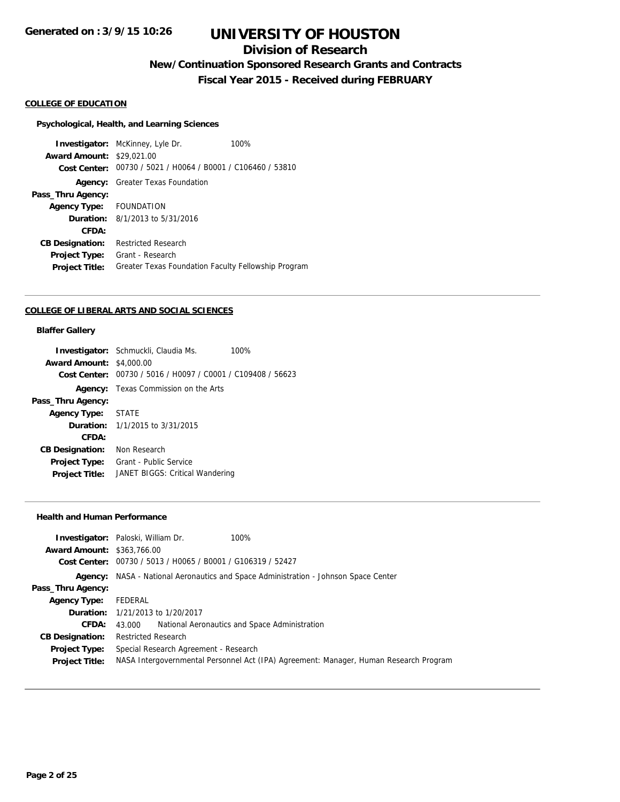## **Division of Research**

**New/Continuation Sponsored Research Grants and Contracts**

**Fiscal Year 2015 - Received during FEBRUARY**

### **COLLEGE OF EDUCATION**

#### **Psychological, Health, and Learning Sciences**

**Investigator:** McKinney, Lyle Dr. 100% **Award Amount:** \$29,021.00 **Cost Center:** 00730 / 5021 / H0064 / B0001 / C106460 / 53810 **Agency:** Greater Texas Foundation **Pass\_Thru Agency: Agency Type:** FOUNDATION **Duration:** 8/1/2013 to 5/31/2016 **CFDA: CB Designation:** Restricted Research **Project Type:** Grant - Research **Project Title:** Greater Texas Foundation Faculty Fellowship Program

#### **COLLEGE OF LIBERAL ARTS AND SOCIAL SCIENCES**

#### **Blaffer Gallery**

|                                 | <b>Investigator:</b> Schmuckli, Claudia Ms.                 | 100% |
|---------------------------------|-------------------------------------------------------------|------|
| <b>Award Amount: \$4,000.00</b> |                                                             |      |
|                                 | Cost Center: 00730 / 5016 / H0097 / C0001 / C109408 / 56623 |      |
|                                 | <b>Agency:</b> Texas Commission on the Arts                 |      |
| Pass_Thru Agency:               |                                                             |      |
| Agency Type: STATE              |                                                             |      |
|                                 | <b>Duration:</b> $1/1/2015$ to $3/31/2015$                  |      |
| CFDA:                           |                                                             |      |
| <b>CB Designation:</b>          | Non Research                                                |      |
| Project Type:                   | Grant - Public Service                                      |      |
| <b>Project Title:</b>           | JANET BIGGS: Critical Wandering                             |      |
|                                 |                                                             |      |

#### **Health and Human Performance**

| <b>Award Amount: \$363,766.00</b> | <b>Investigator:</b> Paloski, William Dr.                                   | 100%                                                                                  |  |
|-----------------------------------|-----------------------------------------------------------------------------|---------------------------------------------------------------------------------------|--|
|                                   | Cost Center: 00730 / 5013 / H0065 / B0001 / G106319 / 52427                 |                                                                                       |  |
| Agency:                           | NASA - National Aeronautics and Space Administration - Johnson Space Center |                                                                                       |  |
| Pass_Thru Agency:                 |                                                                             |                                                                                       |  |
| <b>Agency Type:</b>               | FEDERAL                                                                     |                                                                                       |  |
|                                   | <b>Duration:</b> 1/21/2013 to 1/20/2017                                     |                                                                                       |  |
| <b>CFDA:</b>                      | 43.000                                                                      | National Aeronautics and Space Administration                                         |  |
| <b>CB Designation:</b>            | <b>Restricted Research</b>                                                  |                                                                                       |  |
| <b>Project Type:</b>              | Special Research Agreement - Research                                       |                                                                                       |  |
| <b>Project Title:</b>             |                                                                             | NASA Intergovernmental Personnel Act (IPA) Agreement: Manager, Human Research Program |  |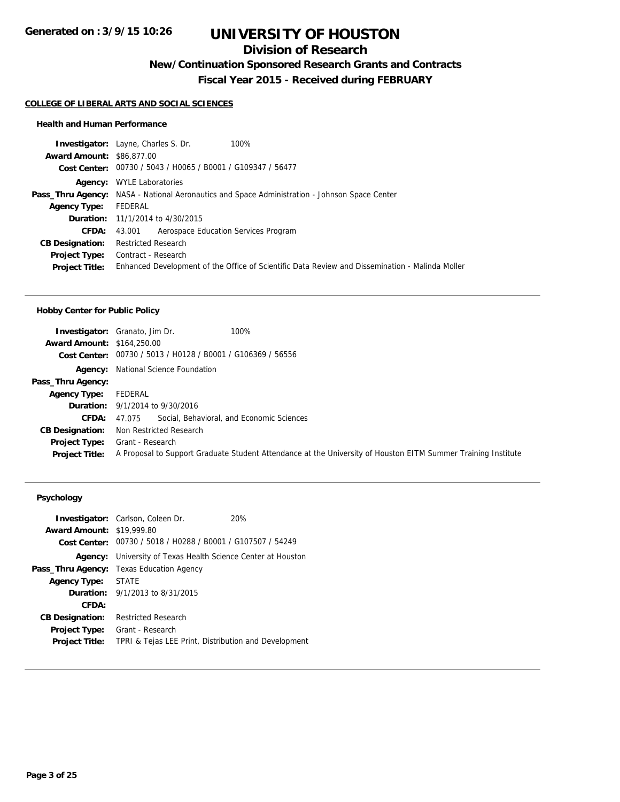# **Division of Research**

**New/Continuation Sponsored Research Grants and Contracts**

**Fiscal Year 2015 - Received during FEBRUARY**

#### **COLLEGE OF LIBERAL ARTS AND SOCIAL SCIENCES**

### **Health and Human Performance**

|                                  | <b>Investigator:</b> Layne, Charles S. Dr.<br>100%                                                   |
|----------------------------------|------------------------------------------------------------------------------------------------------|
| <b>Award Amount: \$86,877,00</b> |                                                                                                      |
|                                  | Cost Center: 00730 / 5043 / H0065 / B0001 / G109347 / 56477                                          |
|                                  | <b>Agency:</b> WYLE Laboratories                                                                     |
|                                  | <b>Pass_Thru Agency:</b> NASA - National Aeronautics and Space Administration - Johnson Space Center |
| <b>Agency Type:</b>              | FEDERAL                                                                                              |
|                                  | <b>Duration:</b> 11/1/2014 to 4/30/2015                                                              |
| <b>CFDA:</b>                     | Aerospace Education Services Program<br>43.001                                                       |
| <b>CB Designation:</b>           | <b>Restricted Research</b>                                                                           |
| <b>Project Type:</b>             | Contract - Research                                                                                  |
| <b>Project Title:</b>            | Enhanced Development of the Office of Scientific Data Review and Dissemination - Malinda Moller      |
|                                  |                                                                                                      |

#### **Hobby Center for Public Policy**

|                                   | <b>Investigator:</b> Granato, Jim Dr.<br>100%                                                                 |
|-----------------------------------|---------------------------------------------------------------------------------------------------------------|
| <b>Award Amount: \$164,250.00</b> |                                                                                                               |
|                                   | Cost Center: 00730 / 5013 / H0128 / B0001 / G106369 / 56556                                                   |
| Agency:                           | National Science Foundation                                                                                   |
| Pass_Thru Agency:                 |                                                                                                               |
| <b>Agency Type:</b>               | FEDERAL                                                                                                       |
|                                   | <b>Duration:</b> 9/1/2014 to 9/30/2016                                                                        |
| CFDA:                             | Social, Behavioral, and Economic Sciences<br>47.075                                                           |
| <b>CB Designation:</b>            | Non Restricted Research                                                                                       |
| <b>Project Type:</b>              | Grant - Research                                                                                              |
| <b>Project Title:</b>             | A Proposal to Support Graduate Student Attendance at the University of Houston EITM Summer Training Institute |

| <b>Award Amount: \$19,999.80</b> | <b>Investigator:</b> Carlson, Coleen Dr.<br>Cost Center: 00730 / 5018 / H0288 / B0001 / G107507 / 54249 | 20% |  |
|----------------------------------|---------------------------------------------------------------------------------------------------------|-----|--|
|                                  | <b>Agency:</b> University of Texas Health Science Center at Houston                                     |     |  |
|                                  | <b>Pass_Thru Agency:</b> Texas Education Agency                                                         |     |  |
| <b>Agency Type:</b>              | <b>STATE</b>                                                                                            |     |  |
|                                  | <b>Duration:</b> $9/1/2013$ to $8/31/2015$                                                              |     |  |
| CFDA:                            |                                                                                                         |     |  |
| <b>CB Designation:</b>           | <b>Restricted Research</b>                                                                              |     |  |
| Project Type:                    | Grant - Research                                                                                        |     |  |
| <b>Project Title:</b>            | TPRI & Tejas LEE Print, Distribution and Development                                                    |     |  |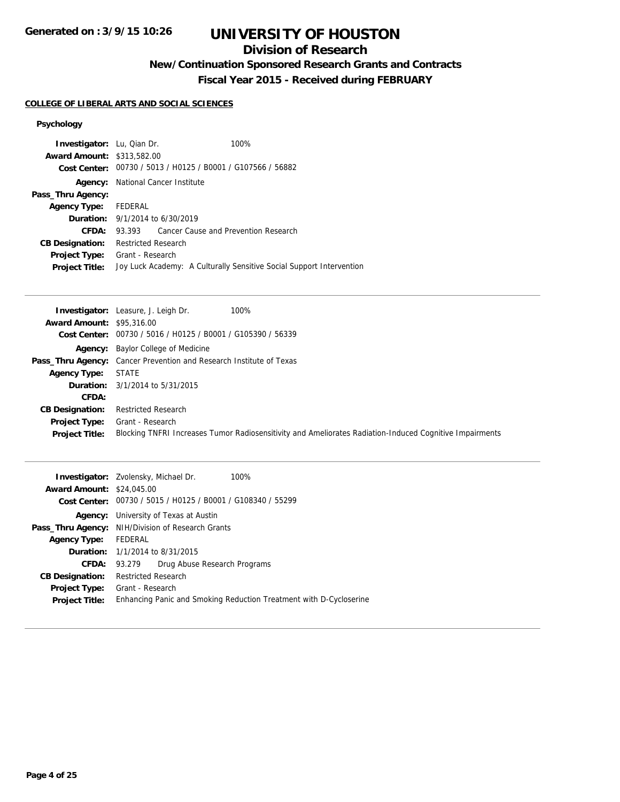# **Division of Research**

**New/Continuation Sponsored Research Grants and Contracts**

**Fiscal Year 2015 - Received during FEBRUARY**

## **COLLEGE OF LIBERAL ARTS AND SOCIAL SCIENCES**

| <b>Investigator:</b> Lu, Qian Dr.<br><b>Award Amount: \$313,582.00</b> |                                        | 100%<br>Cost Center: 00730 / 5013 / H0125 / B0001 / G107566 / 56882  |  |
|------------------------------------------------------------------------|----------------------------------------|----------------------------------------------------------------------|--|
| Agency:                                                                | National Cancer Institute              |                                                                      |  |
| Pass_Thru Agency:                                                      |                                        |                                                                      |  |
| Agency Type: FEDERAL                                                   |                                        |                                                                      |  |
|                                                                        | <b>Duration:</b> 9/1/2014 to 6/30/2019 |                                                                      |  |
| CFDA:                                                                  |                                        | 93.393 Cancer Cause and Prevention Research                          |  |
| <b>CB Designation:</b>                                                 | Restricted Research                    |                                                                      |  |
| <b>Project Type:</b><br><b>Project Title:</b>                          | Grant - Research                       | Joy Luck Academy: A Culturally Sensitive Social Support Intervention |  |

|                                  | 100%<br><b>Investigator:</b> Leasure, J. Leigh Dr.                                                      |
|----------------------------------|---------------------------------------------------------------------------------------------------------|
| <b>Award Amount: \$95,316.00</b> |                                                                                                         |
|                                  | Cost Center: 00730 / 5016 / H0125 / B0001 / G105390 / 56339                                             |
|                                  | <b>Agency:</b> Baylor College of Medicine                                                               |
|                                  | <b>Pass_Thru Agency:</b> Cancer Prevention and Research Institute of Texas                              |
| Agency Type:                     | STATE                                                                                                   |
|                                  | <b>Duration:</b> $3/1/2014$ to $5/31/2015$                                                              |
| CFDA:                            |                                                                                                         |
| <b>CB Designation:</b>           | <b>Restricted Research</b>                                                                              |
| <b>Project Type:</b>             | Grant - Research                                                                                        |
| <b>Project Title:</b>            | Blocking TNFRI Increases Tumor Radiosensitivity and Ameliorates Radiation-Induced Cognitive Impairments |

|                                  | <b>Investigator:</b> Zvolensky, Michael Dr.<br>$100\%$             |  |  |  |  |
|----------------------------------|--------------------------------------------------------------------|--|--|--|--|
| <b>Award Amount: \$24,045.00</b> |                                                                    |  |  |  |  |
|                                  | Cost Center: 00730 / 5015 / H0125 / B0001 / G108340 / 55299        |  |  |  |  |
| Agency:                          | University of Texas at Austin                                      |  |  |  |  |
|                                  | Pass_Thru Agency: NIH/Division of Research Grants                  |  |  |  |  |
| Agency Type: FEDERAL             |                                                                    |  |  |  |  |
|                                  | <b>Duration:</b> 1/1/2014 to 8/31/2015                             |  |  |  |  |
|                                  | Drug Abuse Research Programs<br><b>CFDA:</b> 93.279                |  |  |  |  |
| <b>CB Designation:</b>           | <b>Restricted Research</b>                                         |  |  |  |  |
| Project Type:                    | Grant - Research                                                   |  |  |  |  |
| <b>Project Title:</b>            | Enhancing Panic and Smoking Reduction Treatment with D-Cycloserine |  |  |  |  |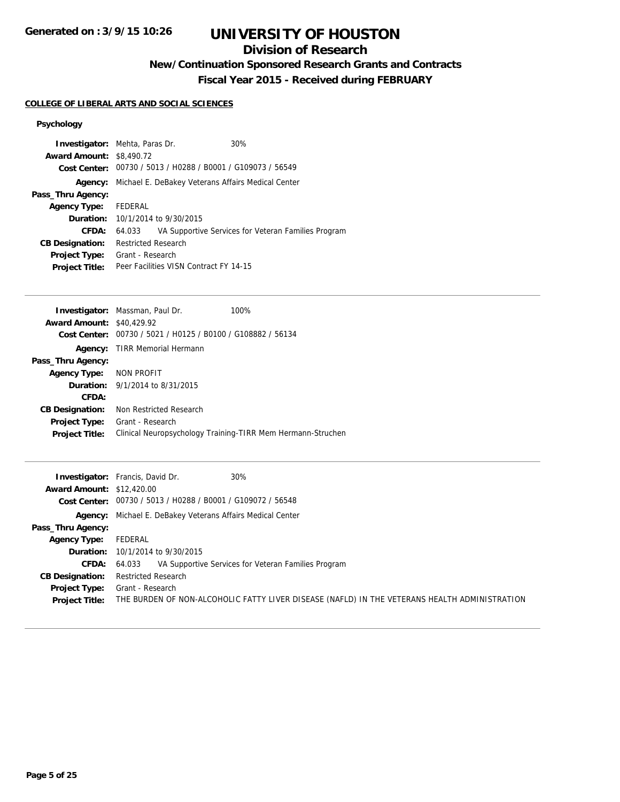# **Division of Research**

**New/Continuation Sponsored Research Grants and Contracts**

**Fiscal Year 2015 - Received during FEBRUARY**

## **COLLEGE OF LIBERAL ARTS AND SOCIAL SCIENCES**

| <b>Investigator:</b> Mehta, Paras Dr.<br><b>Award Amount: \$8,490.72</b> |                                                             |  | 30%                                                 |  |
|--------------------------------------------------------------------------|-------------------------------------------------------------|--|-----------------------------------------------------|--|
|                                                                          | Cost Center: 00730 / 5013 / H0288 / B0001 / G109073 / 56549 |  |                                                     |  |
|                                                                          |                                                             |  |                                                     |  |
| Agency:                                                                  | Michael E. DeBakey Veterans Affairs Medical Center          |  |                                                     |  |
| Pass_Thru Agency:                                                        |                                                             |  |                                                     |  |
| <b>Agency Type:</b>                                                      | FEDERAL                                                     |  |                                                     |  |
|                                                                          | <b>Duration:</b> $10/1/2014$ to $9/30/2015$                 |  |                                                     |  |
| CFDA:                                                                    | 64.033                                                      |  | VA Supportive Services for Veteran Families Program |  |
| <b>CB Designation:</b>                                                   | <b>Restricted Research</b>                                  |  |                                                     |  |
| <b>Project Type:</b>                                                     | Grant - Research                                            |  |                                                     |  |
| <b>Project Title:</b>                                                    | Peer Facilities VISN Contract FY 14-15                      |  |                                                     |  |

| <b>Investigator:</b> Massman, Paul Dr.         | 100%                                                        |
|------------------------------------------------|-------------------------------------------------------------|
| <b>Award Amount: \$40,429.92</b>               |                                                             |
| 00730 / 5021 / H0125 / B0100 / G108882 / 56134 |                                                             |
| TIRR Memorial Hermann                          |                                                             |
|                                                |                                                             |
| NON PROFIT                                     |                                                             |
| <b>Duration:</b> $9/1/2014$ to $8/31/2015$     |                                                             |
|                                                |                                                             |
| Non Restricted Research                        |                                                             |
| Grant - Research                               |                                                             |
|                                                | Clinical Neuropsychology Training-TIRR Mem Hermann-Struchen |
|                                                |                                                             |

|                                  | 30%<br><b>Investigator:</b> Francis, David Dr.                                                |
|----------------------------------|-----------------------------------------------------------------------------------------------|
| <b>Award Amount: \$12,420.00</b> |                                                                                               |
|                                  | Cost Center: 00730 / 5013 / H0288 / B0001 / G109072 / 56548                                   |
|                                  | Agency: Michael E. DeBakey Veterans Affairs Medical Center                                    |
| Pass_Thru Agency:                |                                                                                               |
| <b>Agency Type:</b>              | FEDERAL                                                                                       |
|                                  | <b>Duration:</b> 10/1/2014 to 9/30/2015                                                       |
| CFDA:                            | VA Supportive Services for Veteran Families Program<br>64.033                                 |
| <b>CB Designation:</b>           | <b>Restricted Research</b>                                                                    |
| <b>Project Type:</b>             | Grant - Research                                                                              |
| <b>Project Title:</b>            | THE BURDEN OF NON-ALCOHOLIC FATTY LIVER DISEASE (NAFLD) IN THE VETERANS HEALTH ADMINISTRATION |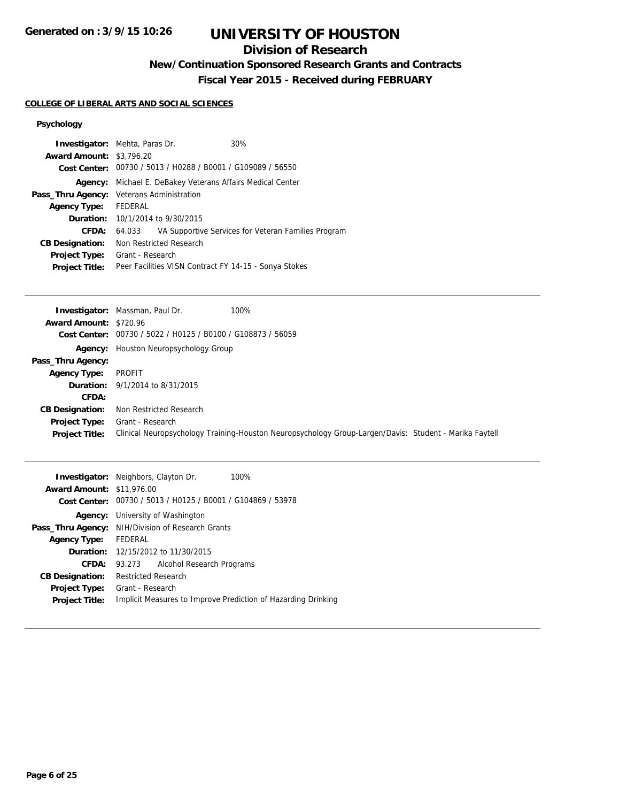## **Division of Research**

**New/Continuation Sponsored Research Grants and Contracts**

**Fiscal Year 2015 - Received during FEBRUARY**

## **COLLEGE OF LIBERAL ARTS AND SOCIAL SCIENCES**

| <b>Investigator:</b> Mehta, Paras Dr.     |                         |                                         | 30%                                                         |
|-------------------------------------------|-------------------------|-----------------------------------------|-------------------------------------------------------------|
| <b>Award Amount: \$3,796.20</b>           |                         |                                         |                                                             |
|                                           |                         |                                         | Cost Center: 00730 / 5013 / H0288 / B0001 / G109089 / 56550 |
| Agency:                                   |                         |                                         | Michael E. DeBakey Veterans Affairs Medical Center          |
| Pass_Thru Agency: Veterans Administration |                         |                                         |                                                             |
| <b>Agency Type:</b>                       | FEDERAL                 |                                         |                                                             |
|                                           |                         | <b>Duration:</b> 10/1/2014 to 9/30/2015 |                                                             |
| CFDA:                                     | 64.033                  |                                         | VA Supportive Services for Veteran Families Program         |
| <b>CB Designation:</b>                    | Non Restricted Research |                                         |                                                             |
| <b>Project Type:</b>                      | Grant - Research        |                                         |                                                             |
| <b>Project Title:</b>                     |                         |                                         | Peer Facilities VISN Contract FY 14-15 - Sonya Stokes       |

| Award Amount: \$720.96<br>Cost Center: 00730 / 5022 / H0125 / B0100 / G108873 / 56059<br><b>Agency:</b> Houston Neuropsychology Group<br>Pass_Thru Agency:<br>PROFIT<br><b>Agency Type:</b><br><b>Duration:</b> 9/1/2014 to 8/31/2015<br>CFDA:<br>Non Restricted Research<br><b>CB Designation:</b><br>Grant - Research<br><b>Project Type:</b> | 100%<br><b>Investigator:</b> Massman, Paul Dr. |
|-------------------------------------------------------------------------------------------------------------------------------------------------------------------------------------------------------------------------------------------------------------------------------------------------------------------------------------------------|------------------------------------------------|
|                                                                                                                                                                                                                                                                                                                                                 |                                                |
|                                                                                                                                                                                                                                                                                                                                                 |                                                |
|                                                                                                                                                                                                                                                                                                                                                 |                                                |
|                                                                                                                                                                                                                                                                                                                                                 |                                                |
|                                                                                                                                                                                                                                                                                                                                                 |                                                |
|                                                                                                                                                                                                                                                                                                                                                 |                                                |
|                                                                                                                                                                                                                                                                                                                                                 |                                                |
|                                                                                                                                                                                                                                                                                                                                                 |                                                |
|                                                                                                                                                                                                                                                                                                                                                 |                                                |
| Clinical Neuropsychology Training-Houston Neuropsychology Group-Largen/Davis: Student - Marika Faytell<br><b>Project Title:</b>                                                                                                                                                                                                                 |                                                |
|                                                                                                                                                                                                                                                                                                                                                 |                                                |

| <b>Award Amount: \$11,976.00</b> | <b>Investigator:</b> Neighbors, Clayton Dr.<br>100%<br>Cost Center: 00730 / 5013 / H0125 / B0001 / G104869 / 53978 |
|----------------------------------|--------------------------------------------------------------------------------------------------------------------|
|                                  | <b>Agency:</b> University of Washington                                                                            |
| Pass_Thru Agency:                | NIH/Division of Research Grants                                                                                    |
| <b>Agency Type:</b>              | FEDERAL                                                                                                            |
|                                  | <b>Duration:</b> 12/15/2012 to 11/30/2015                                                                          |
| CFDA:                            | Alcohol Research Programs<br>93.273                                                                                |
| <b>CB Designation:</b>           | <b>Restricted Research</b>                                                                                         |
| Project Type:                    | Grant - Research                                                                                                   |
| <b>Project Title:</b>            | Implicit Measures to Improve Prediction of Hazarding Drinking                                                      |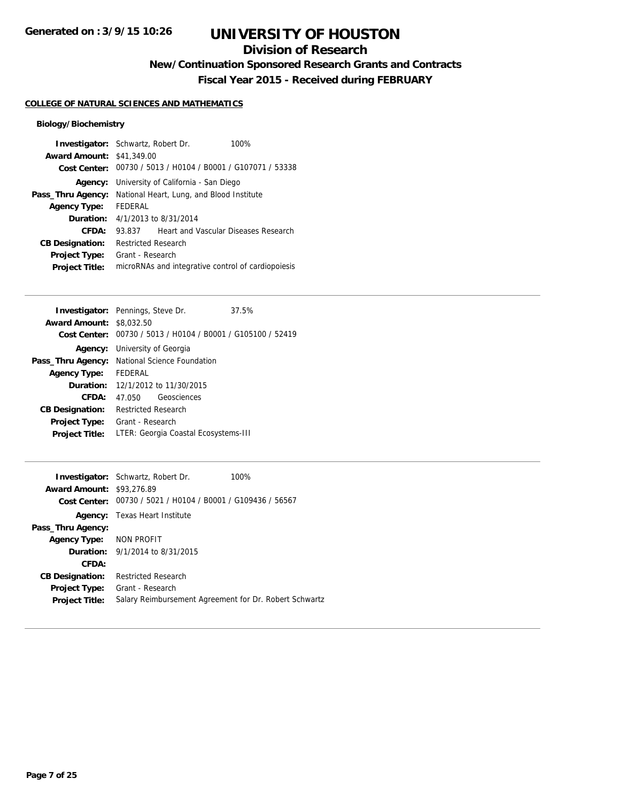## **Division of Research**

**New/Continuation Sponsored Research Grants and Contracts**

**Fiscal Year 2015 - Received during FEBRUARY**

## **COLLEGE OF NATURAL SCIENCES AND MATHEMATICS**

### **Biology/Biochemistry**

| <b>Investigator:</b> Schwartz, Robert Dr. |                                            |                                                             | 100% |
|-------------------------------------------|--------------------------------------------|-------------------------------------------------------------|------|
| <b>Award Amount: \$41,349.00</b>          |                                            |                                                             |      |
|                                           |                                            | Cost Center: 00730 / 5013 / H0104 / B0001 / G107071 / 53338 |      |
| Agency:                                   |                                            | University of California - San Diego                        |      |
| Pass_Thru Agency:                         |                                            | National Heart, Lung, and Blood Institute                   |      |
| <b>Agency Type:</b>                       | <b>FFDFRAL</b>                             |                                                             |      |
|                                           | <b>Duration:</b> $4/1/2013$ to $8/31/2014$ |                                                             |      |
| CFDA:                                     | 93.837                                     | Heart and Vascular Diseases Research                        |      |
| <b>CB Designation:</b>                    | <b>Restricted Research</b>                 |                                                             |      |
| <b>Project Type:</b>                      | Grant - Research                           |                                                             |      |
| <b>Project Title:</b>                     |                                            | microRNAs and integrative control of cardiopoiesis          |      |

|                                 | <b>Investigator:</b> Pennings, Steve Dr.                    | 37.5% |
|---------------------------------|-------------------------------------------------------------|-------|
| <b>Award Amount: \$8,032.50</b> |                                                             |       |
|                                 | Cost Center: 00730 / 5013 / H0104 / B0001 / G105100 / 52419 |       |
|                                 | <b>Agency:</b> University of Georgia                        |       |
|                                 | <b>Pass_Thru Agency:</b> National Science Foundation        |       |
| <b>Agency Type:</b>             | FEDERAL                                                     |       |
|                                 | <b>Duration:</b> 12/1/2012 to 11/30/2015                    |       |
| CFDA:                           | Geosciences<br>47.050                                       |       |
| <b>CB Designation:</b>          | <b>Restricted Research</b>                                  |       |
| <b>Project Type:</b>            | Grant - Research                                            |       |
| <b>Project Title:</b>           | LTER: Georgia Coastal Ecosystems-III                        |       |

|                                  | <b>Investigator:</b> Schwartz, Robert Dr.<br>100%           |
|----------------------------------|-------------------------------------------------------------|
| <b>Award Amount: \$93,276.89</b> |                                                             |
|                                  | Cost Center: 00730 / 5021 / H0104 / B0001 / G109436 / 56567 |
|                                  | <b>Agency:</b> Texas Heart Institute                        |
| Pass_Thru Agency:                |                                                             |
| Agency Type: NON PROFIT          |                                                             |
|                                  | <b>Duration:</b> $9/1/2014$ to $8/31/2015$                  |
| CFDA:                            |                                                             |
| <b>CB Designation:</b>           | <b>Restricted Research</b>                                  |
| <b>Project Type:</b>             | Grant - Research                                            |
| <b>Project Title:</b>            | Salary Reimbursement Agreement for Dr. Robert Schwartz      |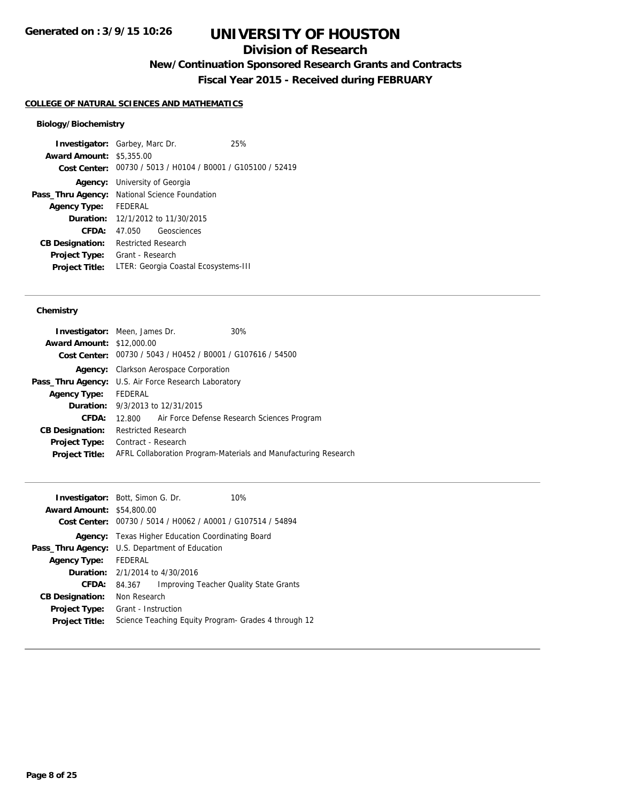# **Division of Research**

**New/Continuation Sponsored Research Grants and Contracts**

**Fiscal Year 2015 - Received during FEBRUARY**

## **COLLEGE OF NATURAL SCIENCES AND MATHEMATICS**

### **Biology/Biochemistry**

|                                 | <b>Investigator:</b> Garbey, Marc Dr.                       | 25% |
|---------------------------------|-------------------------------------------------------------|-----|
| <b>Award Amount: \$5,355.00</b> |                                                             |     |
|                                 | Cost Center: 00730 / 5013 / H0104 / B0001 / G105100 / 52419 |     |
| Agency:                         | University of Georgia                                       |     |
|                                 | Pass_Thru Agency: National Science Foundation               |     |
| Agency Type:                    | FEDERAL                                                     |     |
|                                 | <b>Duration:</b> 12/1/2012 to 11/30/2015                    |     |
| CFDA:                           | Geosciences<br>47.050                                       |     |
| <b>CB Designation:</b>          | <b>Restricted Research</b>                                  |     |
| <b>Project Type:</b>            | Grant - Research                                            |     |
| <b>Project Title:</b>           | LTER: Georgia Coastal Ecosystems-III                        |     |
|                                 |                                                             |     |

### **Chemistry**

|                                  | <b>Investigator:</b> Meen, James Dr.                        | 30%                                                             |
|----------------------------------|-------------------------------------------------------------|-----------------------------------------------------------------|
| <b>Award Amount: \$12,000.00</b> |                                                             |                                                                 |
|                                  | Cost Center: 00730 / 5043 / H0452 / B0001 / G107616 / 54500 |                                                                 |
| Agency:                          | <b>Clarkson Aerospace Corporation</b>                       |                                                                 |
|                                  | <b>Pass_Thru Agency:</b> U.S. Air Force Research Laboratory |                                                                 |
| <b>Agency Type:</b>              | FEDERAL                                                     |                                                                 |
|                                  | <b>Duration:</b> 9/3/2013 to 12/31/2015                     |                                                                 |
| CFDA:                            | 12.800                                                      | Air Force Defense Research Sciences Program                     |
| <b>CB Designation:</b>           | <b>Restricted Research</b>                                  |                                                                 |
| <b>Project Type:</b>             | Contract - Research                                         |                                                                 |
| <b>Project Title:</b>            |                                                             | AFRL Collaboration Program-Materials and Manufacturing Research |
|                                  |                                                             |                                                                 |

|                                  | <b>Investigator:</b> Bott, Simon G. Dr.   | 10%                                                         |
|----------------------------------|-------------------------------------------|-------------------------------------------------------------|
| <b>Award Amount: \$54,800.00</b> |                                           |                                                             |
|                                  |                                           | Cost Center: 00730 / 5014 / H0062 / A0001 / G107514 / 54894 |
| Agency:                          | Texas Higher Education Coordinating Board |                                                             |
| Pass_Thru Agency:                | U.S. Department of Education              |                                                             |
| <b>Agency Type:</b>              | <b>FEDERAL</b>                            |                                                             |
|                                  | <b>Duration:</b> 2/1/2014 to 4/30/2016    |                                                             |
| CFDA:                            | 84.367                                    | <b>Improving Teacher Quality State Grants</b>               |
| <b>CB Designation:</b>           | Non Research                              |                                                             |
| <b>Project Type:</b>             | Grant - Instruction                       |                                                             |
| <b>Project Title:</b>            |                                           | Science Teaching Equity Program- Grades 4 through 12        |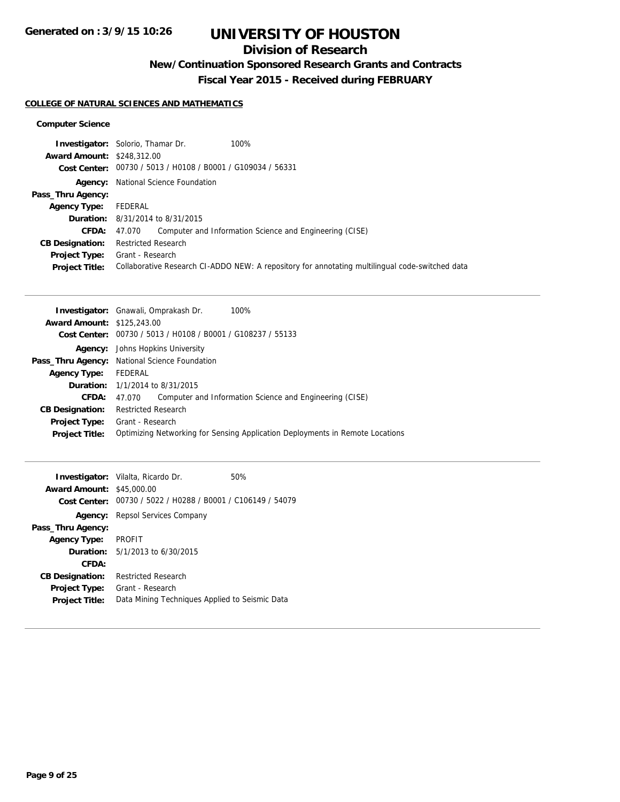# **Division of Research**

**New/Continuation Sponsored Research Grants and Contracts**

**Fiscal Year 2015 - Received during FEBRUARY**

## **COLLEGE OF NATURAL SCIENCES AND MATHEMATICS**

### **Computer Science**

|                                   | 100%<br><b>Investigator:</b> Solorio, Thamar Dr.            |                                                                                                 |
|-----------------------------------|-------------------------------------------------------------|-------------------------------------------------------------------------------------------------|
| <b>Award Amount: \$248,312.00</b> |                                                             |                                                                                                 |
|                                   | Cost Center: 00730 / 5013 / H0108 / B0001 / G109034 / 56331 |                                                                                                 |
|                                   | <b>Agency:</b> National Science Foundation                  |                                                                                                 |
| Pass_Thru Agency:                 |                                                             |                                                                                                 |
| <b>Agency Type:</b>               | FEDERAL                                                     |                                                                                                 |
|                                   | <b>Duration:</b> 8/31/2014 to 8/31/2015                     |                                                                                                 |
| <b>CFDA:</b>                      | 47.070                                                      | Computer and Information Science and Engineering (CISE)                                         |
| <b>CB Designation:</b>            | <b>Restricted Research</b>                                  |                                                                                                 |
| <b>Project Type:</b>              | Grant - Research                                            |                                                                                                 |
| <b>Project Title:</b>             |                                                             | Collaborative Research CI-ADDO NEW: A repository for annotating multilingual code-switched data |

| <b>Investigator:</b> Gnawali, Omprakash Dr.<br>100%                           |  |  |
|-------------------------------------------------------------------------------|--|--|
| <b>Award Amount: \$125,243.00</b>                                             |  |  |
| Cost Center: 00730 / 5013 / H0108 / B0001 / G108237 / 55133                   |  |  |
| <b>Agency:</b> Johns Hopkins University                                       |  |  |
| Pass_Thru Agency: National Science Foundation                                 |  |  |
| FEDERAL                                                                       |  |  |
| <b>Duration:</b> $1/1/2014$ to $8/31/2015$                                    |  |  |
| Computer and Information Science and Engineering (CISE)<br>47.070             |  |  |
| <b>Restricted Research</b>                                                    |  |  |
| Grant - Research                                                              |  |  |
| Optimizing Networking for Sensing Application Deployments in Remote Locations |  |  |
|                                                                               |  |  |

|                                  | <b>Investigator:</b> Vilalta, Ricardo Dr.                   | 50% |
|----------------------------------|-------------------------------------------------------------|-----|
| <b>Award Amount: \$45,000.00</b> |                                                             |     |
|                                  | Cost Center: 00730 / 5022 / H0288 / B0001 / C106149 / 54079 |     |
|                                  | <b>Agency:</b> Repsol Services Company                      |     |
| Pass_Thru Agency:                |                                                             |     |
| <b>Agency Type:</b>              | PROFIT                                                      |     |
|                                  | <b>Duration:</b> $5/1/2013$ to $6/30/2015$                  |     |
| CFDA:                            |                                                             |     |
| <b>CB Designation:</b>           | <b>Restricted Research</b>                                  |     |
| <b>Project Type:</b>             | Grant - Research                                            |     |
| <b>Project Title:</b>            | Data Mining Techniques Applied to Seismic Data              |     |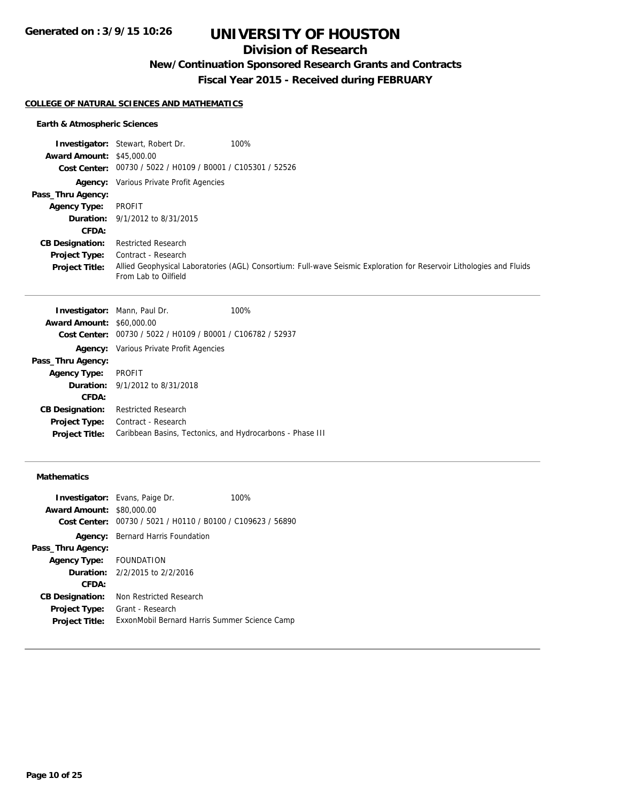## **Division of Research**

**New/Continuation Sponsored Research Grants and Contracts**

**Fiscal Year 2015 - Received during FEBRUARY**

#### **COLLEGE OF NATURAL SCIENCES AND MATHEMATICS**

### **Earth & Atmospheric Sciences**

|                                  | 100%<br><b>Investigator:</b> Stewart, Robert Dr.            |                                                                                                                      |
|----------------------------------|-------------------------------------------------------------|----------------------------------------------------------------------------------------------------------------------|
| <b>Award Amount: \$45,000.00</b> |                                                             |                                                                                                                      |
|                                  | Cost Center: 00730 / 5022 / H0109 / B0001 / C105301 / 52526 |                                                                                                                      |
|                                  | <b>Agency:</b> Various Private Profit Agencies              |                                                                                                                      |
| Pass_Thru Agency:                |                                                             |                                                                                                                      |
| <b>Agency Type:</b>              | PROFIT                                                      |                                                                                                                      |
|                                  | <b>Duration:</b> 9/1/2012 to 8/31/2015                      |                                                                                                                      |
| CFDA:                            |                                                             |                                                                                                                      |
| <b>CB Designation:</b>           | Restricted Research                                         |                                                                                                                      |
| <b>Project Type:</b>             | Contract - Research                                         |                                                                                                                      |
| <b>Project Title:</b>            | From Lab to Oilfield                                        | Allied Geophysical Laboratories (AGL) Consortium: Full-wave Seismic Exploration for Reservoir Lithologies and Fluids |

|                                  | <b>Investigator:</b> Mann, Paul Dr.                         | 100% |
|----------------------------------|-------------------------------------------------------------|------|
| <b>Award Amount: \$60,000.00</b> |                                                             |      |
|                                  | Cost Center: 00730 / 5022 / H0109 / B0001 / C106782 / 52937 |      |
|                                  | <b>Agency:</b> Various Private Profit Agencies              |      |
| Pass_Thru Agency:                |                                                             |      |
| <b>Agency Type:</b>              | <b>PROFIT</b>                                               |      |
|                                  | <b>Duration:</b> 9/1/2012 to 8/31/2018                      |      |
| <b>CFDA:</b>                     |                                                             |      |
| <b>CB Designation:</b>           | <b>Restricted Research</b>                                  |      |
| <b>Project Type:</b>             | Contract - Research                                         |      |
| <b>Project Title:</b>            | Caribbean Basins, Tectonics, and Hydrocarbons - Phase III   |      |
|                                  |                                                             |      |

## **Mathematics**

| <b>Award Amount:</b>   | <b>Investigator:</b> Evans, Paige Dr.<br>\$80,000.00        | 100% |
|------------------------|-------------------------------------------------------------|------|
|                        | Cost Center: 00730 / 5021 / H0110 / B0100 / C109623 / 56890 |      |
| Agency:                | Bernard Harris Foundation                                   |      |
| Pass_Thru Agency:      |                                                             |      |
| Agency Type:           | <b>FOUNDATION</b>                                           |      |
|                        | <b>Duration:</b> $2/2/2015$ to $2/2/2016$                   |      |
| CFDA:                  |                                                             |      |
| <b>CB Designation:</b> | Non Restricted Research                                     |      |
| <b>Project Type:</b>   | Grant - Research                                            |      |
| <b>Project Title:</b>  | ExxonMobil Bernard Harris Summer Science Camp               |      |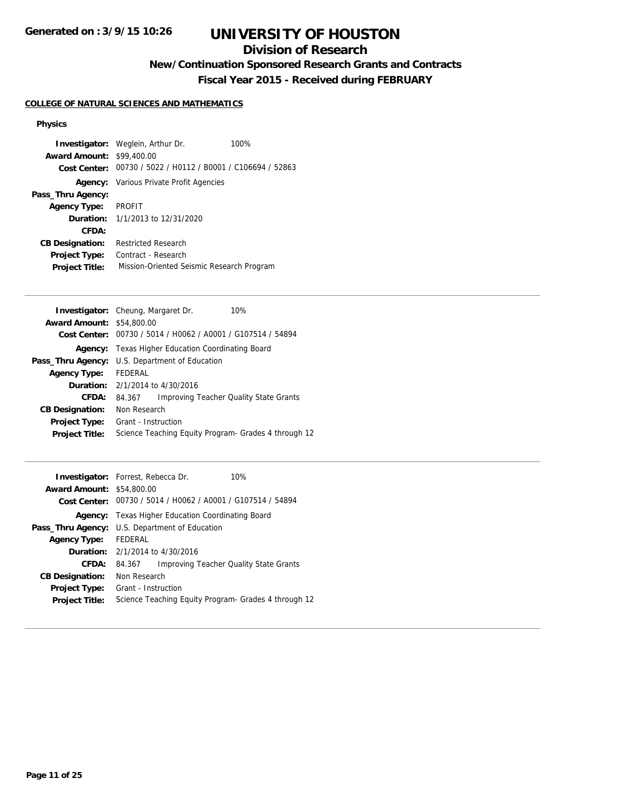# **Division of Research**

**New/Continuation Sponsored Research Grants and Contracts**

**Fiscal Year 2015 - Received during FEBRUARY**

## **COLLEGE OF NATURAL SCIENCES AND MATHEMATICS**

### **Physics**

| <b>Award Amount: \$99,400.00</b> | <b>Investigator:</b> Weglein, Arthur Dr.                    | 100% |
|----------------------------------|-------------------------------------------------------------|------|
|                                  | Cost Center: 00730 / 5022 / H0112 / B0001 / C106694 / 52863 |      |
|                                  | <b>Agency:</b> Various Private Profit Agencies              |      |
| Pass_Thru Agency:                |                                                             |      |
| <b>Agency Type:</b>              | <b>PROFIT</b>                                               |      |
|                                  | <b>Duration:</b> $1/1/2013$ to $12/31/2020$                 |      |
| CFDA:                            |                                                             |      |
| <b>CB Designation:</b>           | <b>Restricted Research</b>                                  |      |
| <b>Project Type:</b>             | Contract - Research                                         |      |
| <b>Project Title:</b>            | Mission-Oriented Seismic Research Program                   |      |

|                                  | <b>Investigator:</b> Cheung, Margaret Dr.<br>10%            |  |  |
|----------------------------------|-------------------------------------------------------------|--|--|
| <b>Award Amount: \$54,800.00</b> |                                                             |  |  |
|                                  | Cost Center: 00730 / 5014 / H0062 / A0001 / G107514 / 54894 |  |  |
| Agency:                          | Texas Higher Education Coordinating Board                   |  |  |
| Pass_Thru Agency:                | U.S. Department of Education                                |  |  |
| <b>Agency Type:</b>              | FEDERAL                                                     |  |  |
|                                  | <b>Duration:</b> $2/1/2014$ to $4/30/2016$                  |  |  |
| CFDA:                            | <b>Improving Teacher Quality State Grants</b><br>84.367     |  |  |
| <b>CB Designation:</b>           | Non Research                                                |  |  |
| Project Type:                    | Grant - Instruction                                         |  |  |
| <b>Project Title:</b>            | Science Teaching Equity Program- Grades 4 through 12        |  |  |
|                                  |                                                             |  |  |

|                                  | <b>Investigator:</b> Forrest, Rebecca Dr.                   | 10%                                    |  |
|----------------------------------|-------------------------------------------------------------|----------------------------------------|--|
| <b>Award Amount: \$54,800.00</b> |                                                             |                                        |  |
|                                  | Cost Center: 00730 / 5014 / H0062 / A0001 / G107514 / 54894 |                                        |  |
| Agency:                          | Texas Higher Education Coordinating Board                   |                                        |  |
|                                  | <b>Pass_Thru Agency:</b> U.S. Department of Education       |                                        |  |
| <b>Agency Type:</b>              | FEDERAL                                                     |                                        |  |
|                                  | <b>Duration:</b> $2/1/2014$ to $4/30/2016$                  |                                        |  |
| CFDA:                            | 84.367                                                      | Improving Teacher Quality State Grants |  |
| <b>CB Designation:</b>           | Non Research                                                |                                        |  |
| <b>Project Type:</b>             | Grant - Instruction                                         |                                        |  |
| <b>Project Title:</b>            | Science Teaching Equity Program- Grades 4 through 12        |                                        |  |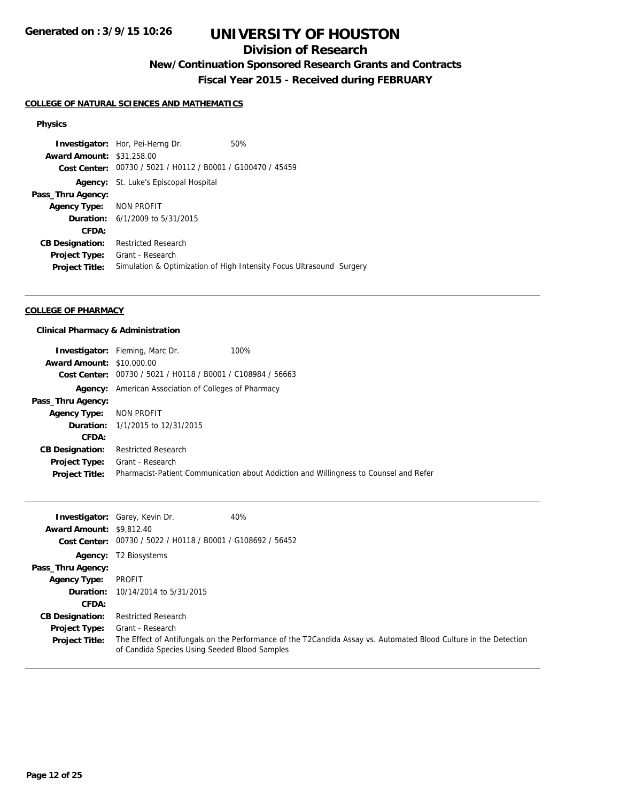# **Division of Research**

**New/Continuation Sponsored Research Grants and Contracts**

**Fiscal Year 2015 - Received during FEBRUARY**

### **COLLEGE OF NATURAL SCIENCES AND MATHEMATICS**

#### **Physics**

**Investigator:** Hor, Pei-Herng Dr. 50% **Award Amount:** \$31,258.00 **Cost Center:** 00730 / 5021 / H0112 / B0001 / G100470 / 45459 **Agency:** St. Luke's Episcopal Hospital **Pass\_Thru Agency: Agency Type:** NON PROFIT **Duration:** 6/1/2009 to 5/31/2015 **CFDA: CB Designation:** Restricted Research **Project Type:** Grant - Research **Project Title:** Simulation & Optimization of High Intensity Focus Ultrasound Surgery

#### **COLLEGE OF PHARMACY**

#### **Clinical Pharmacy & Administration**

|                                  | 100%<br><b>Investigator:</b> Fleming, Marc Dr.                                        |
|----------------------------------|---------------------------------------------------------------------------------------|
| <b>Award Amount: \$10,000.00</b> |                                                                                       |
|                                  | Cost Center: 00730 / 5021 / H0118 / B0001 / C108984 / 56663                           |
|                                  | <b>Agency:</b> American Association of Colleges of Pharmacy                           |
| Pass_Thru Agency:                |                                                                                       |
| Agency Type: NON PROFIT          |                                                                                       |
|                                  | <b>Duration:</b> 1/1/2015 to 12/31/2015                                               |
| CFDA:                            |                                                                                       |
| <b>CB Designation:</b>           | <b>Restricted Research</b>                                                            |
| Project Type:                    | Grant - Research                                                                      |
| <b>Project Title:</b>            | Pharmacist-Patient Communication about Addiction and Willingness to Counsel and Refer |

| <b>Award Amount: \$9,812.40</b><br>Cost Center: | <b>Investigator:</b> Garey, Kevin Dr.<br>00730 / 5022 / H0118 / B0001 / G108692 / 56452 | 40%                                                                                                              |
|-------------------------------------------------|-----------------------------------------------------------------------------------------|------------------------------------------------------------------------------------------------------------------|
| Agency:                                         | T2 Biosystems                                                                           |                                                                                                                  |
| Pass_Thru Agency:                               |                                                                                         |                                                                                                                  |
| <b>Agency Type:</b>                             | PROFIT                                                                                  |                                                                                                                  |
|                                                 | <b>Duration:</b> 10/14/2014 to 5/31/2015                                                |                                                                                                                  |
| CFDA:                                           |                                                                                         |                                                                                                                  |
| <b>CB Designation:</b>                          | <b>Restricted Research</b>                                                              |                                                                                                                  |
| <b>Project Type:</b>                            | Grant - Research                                                                        |                                                                                                                  |
| <b>Project Title:</b>                           | of Candida Species Using Seeded Blood Samples                                           | The Effect of Antifungals on the Performance of the T2Candida Assay vs. Automated Blood Culture in the Detection |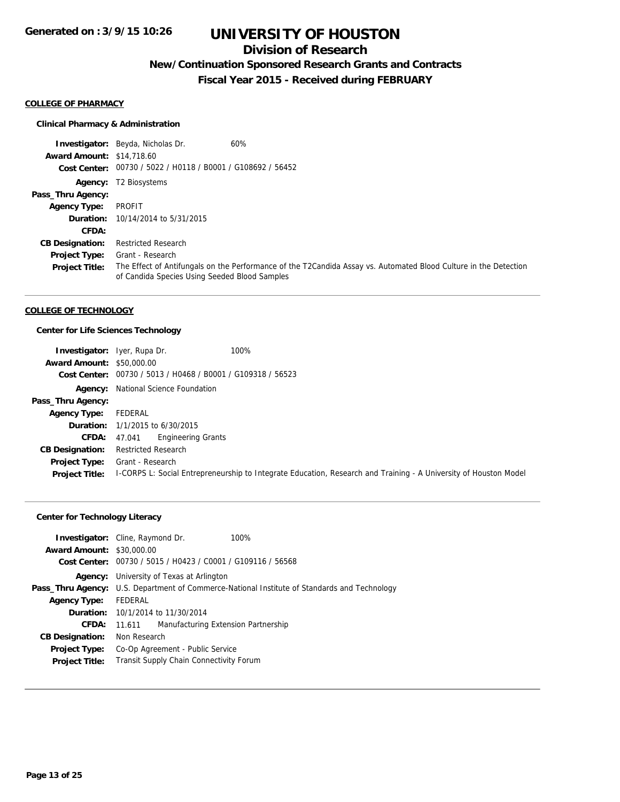# **Division of Research**

# **New/Continuation Sponsored Research Grants and Contracts**

**Fiscal Year 2015 - Received during FEBRUARY**

#### **COLLEGE OF PHARMACY**

### **Clinical Pharmacy & Administration**

|                                  | <b>Investigator:</b> Beyda, Nicholas Dr.                    | 60%                                                                                                              |
|----------------------------------|-------------------------------------------------------------|------------------------------------------------------------------------------------------------------------------|
| <b>Award Amount: \$14,718.60</b> |                                                             |                                                                                                                  |
|                                  | Cost Center: 00730 / 5022 / H0118 / B0001 / G108692 / 56452 |                                                                                                                  |
|                                  | <b>Agency:</b> T2 Biosystems                                |                                                                                                                  |
| Pass_Thru Agency:                |                                                             |                                                                                                                  |
| <b>Agency Type:</b>              | PROFIT                                                      |                                                                                                                  |
|                                  | <b>Duration:</b> 10/14/2014 to 5/31/2015                    |                                                                                                                  |
| CFDA:                            |                                                             |                                                                                                                  |
| <b>CB Designation:</b>           | <b>Restricted Research</b>                                  |                                                                                                                  |
| <b>Project Type:</b>             | Grant - Research                                            |                                                                                                                  |
| <b>Project Title:</b>            | of Candida Species Using Seeded Blood Samples               | The Effect of Antifungals on the Performance of the T2Candida Assay vs. Automated Blood Culture in the Detection |

#### **COLLEGE OF TECHNOLOGY**

## **Center for Life Sciences Technology**

| <b>Investigator:</b> Iyer, Rupa Dr. |                                                | 100%                                                                                                             |
|-------------------------------------|------------------------------------------------|------------------------------------------------------------------------------------------------------------------|
| <b>Award Amount: \$50,000.00</b>    |                                                |                                                                                                                  |
| Cost Center:                        | 00730 / 5013 / H0468 / B0001 / G109318 / 56523 |                                                                                                                  |
| Agency:                             | National Science Foundation                    |                                                                                                                  |
| Pass_Thru Agency:                   |                                                |                                                                                                                  |
| <b>Agency Type:</b>                 | FEDERAL                                        |                                                                                                                  |
|                                     | <b>Duration:</b> 1/1/2015 to 6/30/2015         |                                                                                                                  |
| <b>CFDA:</b> $47.041$               | Engineering Grants                             |                                                                                                                  |
| <b>CB Designation:</b>              | <b>Restricted Research</b>                     |                                                                                                                  |
| <b>Project Type:</b>                | Grant - Research                               |                                                                                                                  |
| <b>Project Title:</b>               |                                                | I-CORPS L: Social Entrepreneurship to Integrate Education, Research and Training - A University of Houston Model |

### **Center for Technology Literacy**

| <b>Investigator:</b> Cline, Raymond Dr.<br><b>Award Amount: \$30,000.00</b> |              | Cost Center: 00730 / 5015 / H0423 / C0001 / G109116 / 56568 | 100%                                                                       |
|-----------------------------------------------------------------------------|--------------|-------------------------------------------------------------|----------------------------------------------------------------------------|
| Agency:                                                                     |              | University of Texas at Arlington                            |                                                                            |
| Pass_Thru Agency:                                                           |              |                                                             | U.S. Department of Commerce-National Institute of Standards and Technology |
| <b>Agency Type:</b>                                                         | FEDERAL      |                                                             |                                                                            |
|                                                                             |              | <b>Duration:</b> 10/1/2014 to 11/30/2014                    |                                                                            |
| CFDA:                                                                       | 11.611       | Manufacturing Extension Partnership                         |                                                                            |
| <b>CB Designation:</b>                                                      | Non Research |                                                             |                                                                            |
| <b>Project Type:</b>                                                        |              | Co-Op Agreement - Public Service                            |                                                                            |
| <b>Project Title:</b>                                                       |              | Transit Supply Chain Connectivity Forum                     |                                                                            |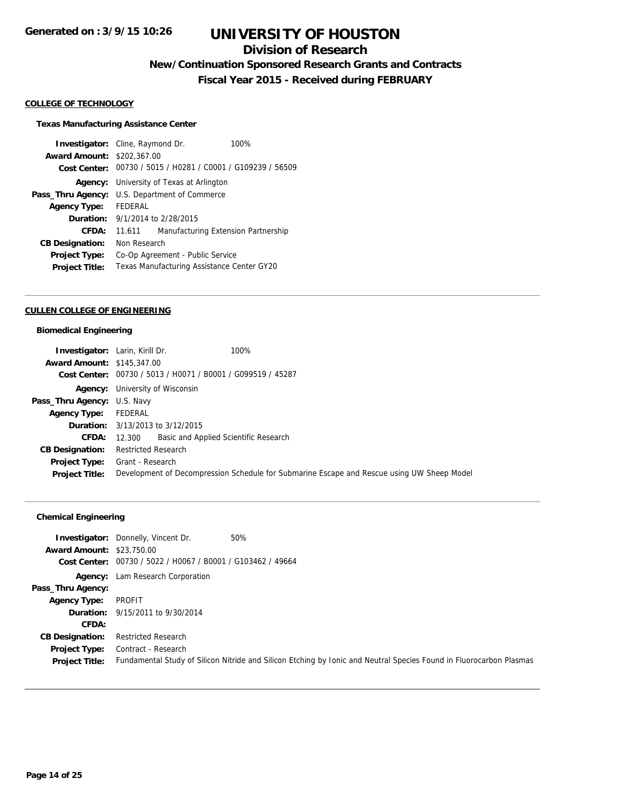## **Division of Research**

**New/Continuation Sponsored Research Grants and Contracts**

**Fiscal Year 2015 - Received during FEBRUARY**

#### **COLLEGE OF TECHNOLOGY**

#### **Texas Manufacturing Assistance Center**

**Investigator:** Cline, Raymond Dr. 100% **Award Amount:** \$202,367.00 **Cost Center:** 00730 / 5015 / H0281 / C0001 / G109239 / 56509 **Agency:** University of Texas at Arlington **Pass\_Thru Agency:** U.S. Department of Commerce **Agency Type:** FEDERAL **Duration:** 9/1/2014 to 2/28/2015 **CFDA:** 11.611 Manufacturing Extension Partnership **CB Designation:** Non Research **Project Type:** Co-Op Agreement - Public Service **Project Title:** Texas Manufacturing Assistance Center GY20

#### **CULLEN COLLEGE OF ENGINEERING**

#### **Biomedical Engineering**

| <b>Investigator:</b> Larin, Kirill Dr. |                                                             | 100%                                                                                       |
|----------------------------------------|-------------------------------------------------------------|--------------------------------------------------------------------------------------------|
| <b>Award Amount: \$145,347.00</b>      |                                                             |                                                                                            |
|                                        | Cost Center: 00730 / 5013 / H0071 / B0001 / G099519 / 45287 |                                                                                            |
|                                        | <b>Agency:</b> University of Wisconsin                      |                                                                                            |
| <b>Pass_Thru Agency: U.S. Navy</b>     |                                                             |                                                                                            |
| <b>Agency Type:</b>                    | FEDERAL                                                     |                                                                                            |
|                                        | <b>Duration:</b> 3/13/2013 to 3/12/2015                     |                                                                                            |
| <b>CFDA:</b>                           | Basic and Applied Scientific Research<br>12.300             |                                                                                            |
| <b>CB Designation:</b>                 | <b>Restricted Research</b>                                  |                                                                                            |
| <b>Project Type:</b>                   | Grant - Research                                            |                                                                                            |
| <b>Project Title:</b>                  |                                                             | Development of Decompression Schedule for Submarine Escape and Rescue using UW Sheep Model |

### **Chemical Engineering**

| <b>Investigator:</b> Donnelly, Vincent Dr.<br><b>Award Amount: \$23,750.00</b><br>Cost Center: 00730 / 5022 / H0067 / B0001 / G103462 / 49664 | 50%                                                                                                                 |
|-----------------------------------------------------------------------------------------------------------------------------------------------|---------------------------------------------------------------------------------------------------------------------|
| <b>Agency:</b> Lam Research Corporation                                                                                                       |                                                                                                                     |
|                                                                                                                                               |                                                                                                                     |
| PROFIT                                                                                                                                        |                                                                                                                     |
| <b>Duration:</b> 9/15/2011 to 9/30/2014                                                                                                       |                                                                                                                     |
|                                                                                                                                               |                                                                                                                     |
| <b>Restricted Research</b>                                                                                                                    |                                                                                                                     |
| Contract - Research<br><b>Project Type:</b>                                                                                                   |                                                                                                                     |
|                                                                                                                                               | Fundamental Study of Silicon Nitride and Silicon Etching by Ionic and Neutral Species Found in Fluorocarbon Plasmas |
|                                                                                                                                               |                                                                                                                     |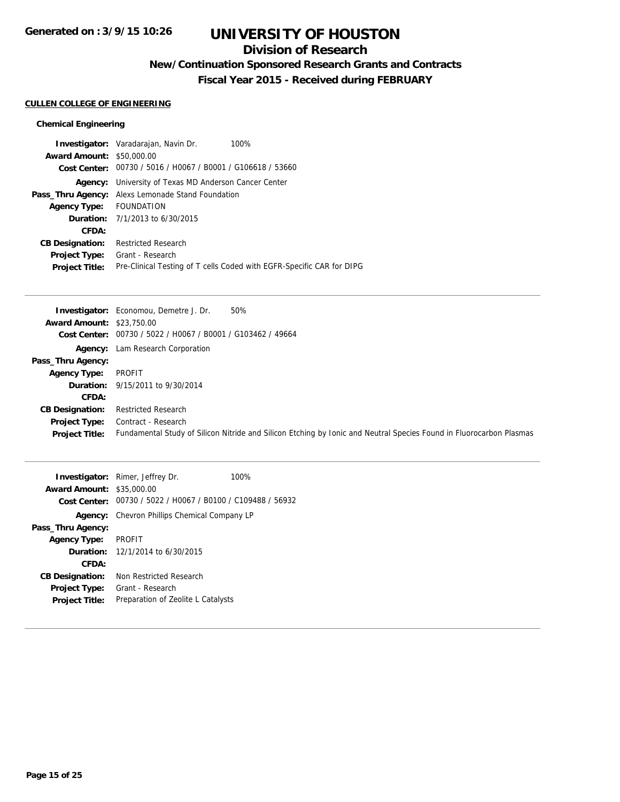## **Division of Research**

**New/Continuation Sponsored Research Grants and Contracts**

**Fiscal Year 2015 - Received during FEBRUARY**

### **CULLEN COLLEGE OF ENGINEERING**

### **Chemical Engineering**

|                                  | <b>Investigator:</b> Varadarajan, Navin Dr.<br>100%                   |
|----------------------------------|-----------------------------------------------------------------------|
| <b>Award Amount: \$50,000.00</b> |                                                                       |
|                                  | Cost Center: 00730 / 5016 / H0067 / B0001 / G106618 / 53660           |
| Agency:                          | University of Texas MD Anderson Cancer Center                         |
|                                  | <b>Pass_Thru Agency:</b> Alexs Lemonade Stand Foundation              |
| Agency Type: FOUNDATION          |                                                                       |
|                                  | <b>Duration:</b> $7/1/2013$ to $6/30/2015$                            |
| CFDA:                            |                                                                       |
| <b>CB Designation:</b>           | <b>Restricted Research</b>                                            |
| <b>Project Type:</b>             | Grant - Research                                                      |
| <b>Project Title:</b>            | Pre-Clinical Testing of T cells Coded with EGFR-Specific CAR for DIPG |

|                                  | <b>Investigator:</b> Economou, Demetre J. Dr.<br>50%                                                                |
|----------------------------------|---------------------------------------------------------------------------------------------------------------------|
| <b>Award Amount: \$23,750.00</b> |                                                                                                                     |
| Cost Center:                     | 00730 / 5022 / H0067 / B0001 / G103462 / 49664                                                                      |
| Agency:                          | Lam Research Corporation                                                                                            |
| Pass_Thru Agency:                |                                                                                                                     |
| <b>Agency Type:</b>              | PROFIT                                                                                                              |
|                                  | <b>Duration:</b> 9/15/2011 to 9/30/2014                                                                             |
| CFDA:                            |                                                                                                                     |
| <b>CB Designation:</b>           | <b>Restricted Research</b>                                                                                          |
| <b>Project Type:</b>             | Contract - Research                                                                                                 |
| <b>Project Title:</b>            | Fundamental Study of Silicon Nitride and Silicon Etching by Ionic and Neutral Species Found in Fluorocarbon Plasmas |

| <b>Award Amount: \$35,000.00</b> | <b>Investigator:</b> Rimer, Jeffrey Dr.<br>Cost Center: 00730 / 5022 / H0067 / B0100 / C109488 / 56932 | 100% |
|----------------------------------|--------------------------------------------------------------------------------------------------------|------|
|                                  | Agency: Chevron Phillips Chemical Company LP                                                           |      |
| Pass_Thru Agency:                |                                                                                                        |      |
| <b>Agency Type:</b>              | <b>PROFIT</b>                                                                                          |      |
|                                  | <b>Duration:</b> 12/1/2014 to 6/30/2015                                                                |      |
| CFDA:                            |                                                                                                        |      |
| <b>CB Designation:</b>           | Non Restricted Research                                                                                |      |
| <b>Project Type:</b>             | Grant - Research                                                                                       |      |
| <b>Project Title:</b>            | Preparation of Zeolite L Catalysts                                                                     |      |
|                                  |                                                                                                        |      |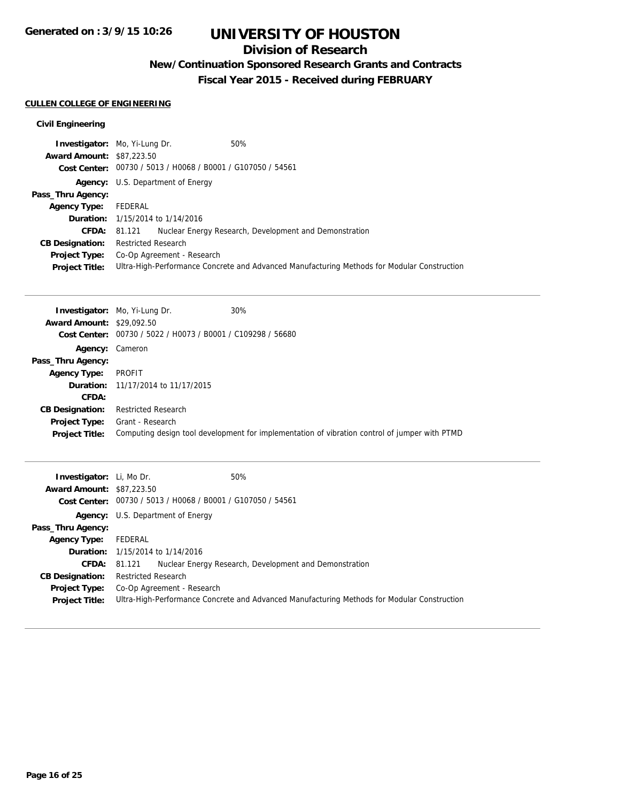## **Division of Research**

**New/Continuation Sponsored Research Grants and Contracts**

**Fiscal Year 2015 - Received during FEBRUARY**

## **CULLEN COLLEGE OF ENGINEERING**

### **Civil Engineering**

|                                  | <b>Investigator:</b> Mo, Yi-Lung Dr.                        | 50%                                                                                         |
|----------------------------------|-------------------------------------------------------------|---------------------------------------------------------------------------------------------|
| <b>Award Amount: \$87,223.50</b> |                                                             |                                                                                             |
|                                  | Cost Center: 00730 / 5013 / H0068 / B0001 / G107050 / 54561 |                                                                                             |
| Agency:                          | U.S. Department of Energy                                   |                                                                                             |
| Pass_Thru Agency:                |                                                             |                                                                                             |
| <b>Agency Type:</b>              | FEDERAL                                                     |                                                                                             |
|                                  | <b>Duration:</b> 1/15/2014 to 1/14/2016                     |                                                                                             |
| <b>CFDA: 81.121</b>              |                                                             | Nuclear Energy Research, Development and Demonstration                                      |
| <b>CB Designation:</b>           | <b>Restricted Research</b>                                  |                                                                                             |
| <b>Project Type:</b>             | Co-Op Agreement - Research                                  |                                                                                             |
| <b>Project Title:</b>            |                                                             | Ultra-High-Performance Concrete and Advanced Manufacturing Methods for Modular Construction |

|                                  | <b>Investigator:</b> Mo, Yi-Lung Dr.                        | 30%                                                                                           |
|----------------------------------|-------------------------------------------------------------|-----------------------------------------------------------------------------------------------|
| <b>Award Amount: \$29,092.50</b> |                                                             |                                                                                               |
|                                  | Cost Center: 00730 / 5022 / H0073 / B0001 / C109298 / 56680 |                                                                                               |
| <b>Agency: Cameron</b>           |                                                             |                                                                                               |
| Pass_Thru Agency:                |                                                             |                                                                                               |
| <b>Agency Type:</b>              | PROFIT                                                      |                                                                                               |
|                                  | <b>Duration:</b> 11/17/2014 to 11/17/2015                   |                                                                                               |
| CFDA:                            |                                                             |                                                                                               |
| <b>CB Designation:</b>           | <b>Restricted Research</b>                                  |                                                                                               |
| <b>Project Type:</b>             | Grant - Research                                            |                                                                                               |
| <b>Project Title:</b>            |                                                             | Computing design tool development for implementation of vibration control of jumper with PTMD |

| <b>Investigator:</b> Li, Mo Dr.<br><b>Award Amount: \$87,223.50</b> | 50%                                                         |                                                                                             |
|---------------------------------------------------------------------|-------------------------------------------------------------|---------------------------------------------------------------------------------------------|
|                                                                     | Cost Center: 00730 / 5013 / H0068 / B0001 / G107050 / 54561 |                                                                                             |
|                                                                     | <b>Agency:</b> U.S. Department of Energy                    |                                                                                             |
| Pass_Thru Agency:                                                   |                                                             |                                                                                             |
| <b>Agency Type:</b>                                                 | FEDERAL                                                     |                                                                                             |
|                                                                     | <b>Duration:</b> 1/15/2014 to 1/14/2016                     |                                                                                             |
| CFDA:                                                               | 81.121                                                      | Nuclear Energy Research, Development and Demonstration                                      |
| <b>CB Designation:</b>                                              | Restricted Research                                         |                                                                                             |
| Project Type:<br><b>Project Title:</b>                              | Co-Op Agreement - Research                                  | Ultra-High-Performance Concrete and Advanced Manufacturing Methods for Modular Construction |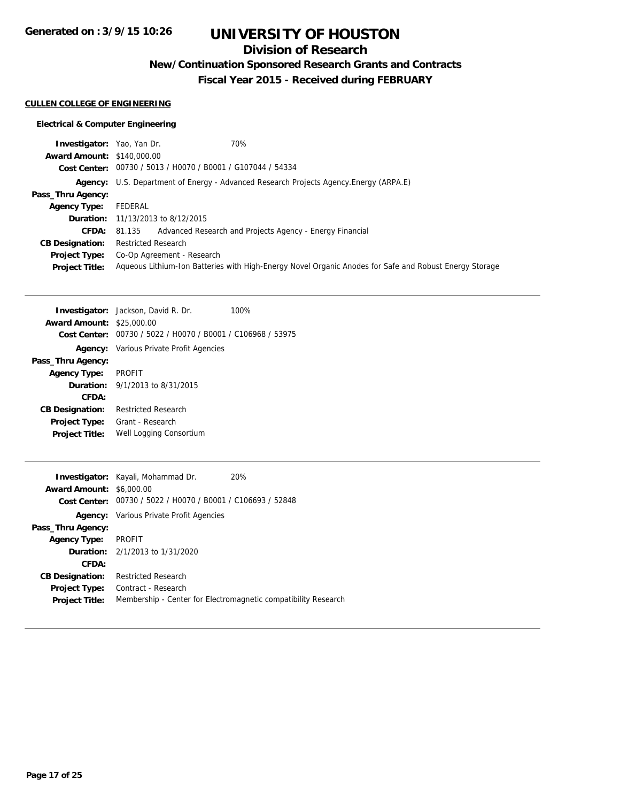**Generated on : 3/9/15 10:26**

# **UNIVERSITY OF HOUSTON**

## **Division of Research**

**New/Continuation Sponsored Research Grants and Contracts**

**Fiscal Year 2015 - Received during FEBRUARY**

### **CULLEN COLLEGE OF ENGINEERING**

### **Electrical & Computer Engineering**

| <b>Investigator:</b> Yao, Yan Dr. | 70%                                                                                                    |
|-----------------------------------|--------------------------------------------------------------------------------------------------------|
| <b>Award Amount: \$140,000.00</b> |                                                                                                        |
|                                   | Cost Center: 00730 / 5013 / H0070 / B0001 / G107044 / 54334                                            |
|                                   | <b>Agency:</b> U.S. Department of Energy - Advanced Research Projects Agency. Energy (ARPA.E)          |
| Pass_Thru Agency:                 |                                                                                                        |
| <b>Agency Type:</b>               | FEDERAL                                                                                                |
|                                   | <b>Duration:</b> 11/13/2013 to 8/12/2015                                                               |
| CFDA:                             | Advanced Research and Projects Agency - Energy Financial<br>81.135                                     |
| <b>CB Designation:</b>            | <b>Restricted Research</b>                                                                             |
| <b>Project Type:</b>              | Co-Op Agreement - Research                                                                             |
| <b>Project Title:</b>             | Aqueous Lithium-Ion Batteries with High-Energy Novel Organic Anodes for Safe and Robust Energy Storage |

| <b>Investigator:</b> Jackson, David R. Dr.     | 100% |
|------------------------------------------------|------|
| <b>Award Amount: \$25,000.00</b>               |      |
| 00730 / 5022 / H0070 / B0001 / C106968 / 53975 |      |
| <b>Agency:</b> Various Private Profit Agencies |      |
|                                                |      |
| PROFIT                                         |      |
| <b>Duration:</b> 9/1/2013 to 8/31/2015         |      |
|                                                |      |
| <b>Restricted Research</b>                     |      |
| <b>Project Type:</b> Grant - Research          |      |
| Well Logging Consortium                        |      |
|                                                |      |
|                                                |      |

|                                 | <b>Investigator:</b> Kayali, Mohammad Dr.                   | 20%                                                            |
|---------------------------------|-------------------------------------------------------------|----------------------------------------------------------------|
| <b>Award Amount: \$6,000.00</b> |                                                             |                                                                |
|                                 | Cost Center: 00730 / 5022 / H0070 / B0001 / C106693 / 52848 |                                                                |
|                                 | <b>Agency:</b> Various Private Profit Agencies              |                                                                |
| Pass_Thru Agency:               |                                                             |                                                                |
| <b>Agency Type:</b>             | <b>PROFIT</b>                                               |                                                                |
|                                 | <b>Duration:</b> 2/1/2013 to 1/31/2020                      |                                                                |
| CFDA:                           |                                                             |                                                                |
| <b>CB Designation:</b>          | <b>Restricted Research</b>                                  |                                                                |
| <b>Project Type:</b>            | Contract - Research                                         |                                                                |
| <b>Project Title:</b>           |                                                             | Membership - Center for Electromagnetic compatibility Research |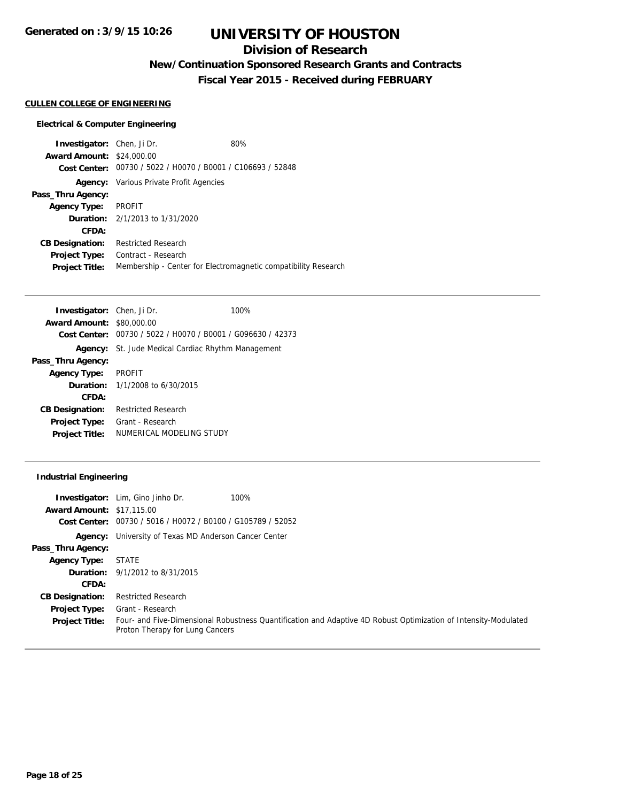## **Division of Research**

**New/Continuation Sponsored Research Grants and Contracts**

**Fiscal Year 2015 - Received during FEBRUARY**

#### **CULLEN COLLEGE OF ENGINEERING**

#### **Electrical & Computer Engineering**

**Investigator:** Chen, Ji Dr. 80% **Award Amount:** \$24,000.00 **Cost Center:** 00730 / 5022 / H0070 / B0001 / C106693 / 52848 **Agency:** Various Private Profit Agencies **Pass\_Thru Agency: Agency Type:** PROFIT **Duration:** 2/1/2013 to 1/31/2020 **CFDA: CB Designation:** Restricted Research **Project Type:** Contract - Research **Project Title:** Membership - Center for Electromagnetic compatibility Research

| <b>Investigator:</b> Chen, Ji Dr. |                                                           | 100%                                           |
|-----------------------------------|-----------------------------------------------------------|------------------------------------------------|
| <b>Award Amount: \$80,000.00</b>  |                                                           |                                                |
| <b>Cost Center:</b>               |                                                           | 00730 / 5022 / H0070 / B0001 / G096630 / 42373 |
|                                   | <b>Agency:</b> St. Jude Medical Cardiac Rhythm Management |                                                |
| Pass_Thru Agency:                 |                                                           |                                                |
| <b>Agency Type:</b>               | PROFIT                                                    |                                                |
|                                   | <b>Duration:</b> 1/1/2008 to 6/30/2015                    |                                                |
| CFDA:                             |                                                           |                                                |
| <b>CB Designation:</b>            | <b>Restricted Research</b>                                |                                                |
| <b>Project Type:</b>              | Grant - Research                                          |                                                |
| <b>Project Title:</b>             | NUMERICAL MODELING STUDY                                  |                                                |

#### **Industrial Engineering**

| <b>Award Amount: \$17,115.00</b> | 100%<br><b>Investigator:</b> Lim, Gino Jinho Dr.<br>Cost Center: 00730 / 5016 / H0072 / B0100 / G105789 / 52052                                    |
|----------------------------------|----------------------------------------------------------------------------------------------------------------------------------------------------|
|                                  | <b>Agency:</b> University of Texas MD Anderson Cancer Center                                                                                       |
| Pass_Thru Agency:                |                                                                                                                                                    |
| <b>Agency Type:</b>              | STATE                                                                                                                                              |
|                                  | <b>Duration:</b> 9/1/2012 to 8/31/2015                                                                                                             |
| CFDA:                            |                                                                                                                                                    |
| <b>CB Designation:</b>           | <b>Restricted Research</b>                                                                                                                         |
| <b>Project Type:</b>             | Grant - Research                                                                                                                                   |
| <b>Project Title:</b>            | Four- and Five-Dimensional Robustness Quantification and Adaptive 4D Robust Optimization of Intensity-Modulated<br>Proton Therapy for Lung Cancers |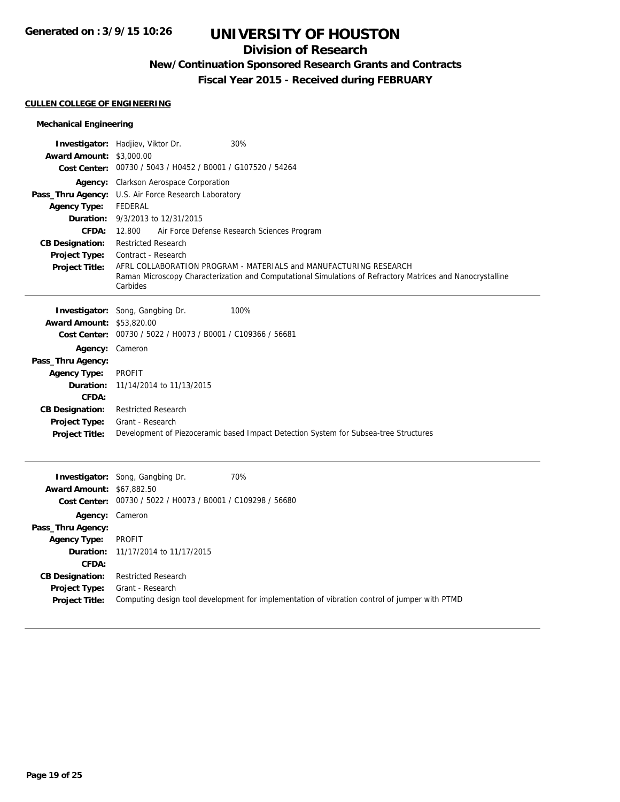## **Division of Research**

# **New/Continuation Sponsored Research Grants and Contracts**

**Fiscal Year 2015 - Received during FEBRUARY**

### **CULLEN COLLEGE OF ENGINEERING**

### **Mechanical Engineering**

|                                  | Investigator: Hadjiev, Viktor Dr.<br>30%                                                                   |
|----------------------------------|------------------------------------------------------------------------------------------------------------|
| <b>Award Amount: \$3,000.00</b>  | Cost Center: 00730 / 5043 / H0452 / B0001 / G107520 / 54264                                                |
|                                  |                                                                                                            |
|                                  | Agency: Clarkson Aerospace Corporation                                                                     |
| <b>Agency Type:</b>              | Pass_Thru Agency: U.S. Air Force Research Laboratory<br><b>FEDERAL</b>                                     |
|                                  | <b>Duration:</b> 9/3/2013 to 12/31/2015                                                                    |
| <b>CFDA:</b>                     | Air Force Defense Research Sciences Program<br>12.800                                                      |
| <b>CB Designation:</b>           | <b>Restricted Research</b>                                                                                 |
| <b>Project Type:</b>             | Contract - Research                                                                                        |
| <b>Project Title:</b>            | AFRL COLLABORATION PROGRAM - MATERIALS and MANUFACTURING RESEARCH                                          |
|                                  | Raman Microscopy Characterization and Computational Simulations of Refractory Matrices and Nanocrystalline |
|                                  | Carbides                                                                                                   |
|                                  | Investigator: Song, Gangbing Dr.<br>100%                                                                   |
| Award Amount: \$53,820.00        |                                                                                                            |
| <b>Cost Center:</b>              | 00730 / 5022 / H0073 / B0001 / C109366 / 56681                                                             |
| Agency: Cameron                  |                                                                                                            |
| Pass_Thru Agency:                |                                                                                                            |
| <b>Agency Type:</b>              | <b>PROFIT</b>                                                                                              |
| Duration:                        | 11/14/2014 to 11/13/2015                                                                                   |
| CFDA:                            |                                                                                                            |
| <b>CB Designation:</b>           | <b>Restricted Research</b>                                                                                 |
| <b>Project Type:</b>             | Grant - Research                                                                                           |
| <b>Project Title:</b>            | Development of Piezoceramic based Impact Detection System for Subsea-tree Structures                       |
|                                  |                                                                                                            |
|                                  | 70%<br><b>Investigator:</b> Song, Gangbing Dr.                                                             |
| <b>Award Amount: \$67,882.50</b> |                                                                                                            |
|                                  | Cost Center: 00730 / 5022 / H0073 / B0001 / C109298 / 56680                                                |
|                                  | Agency: Cameron                                                                                            |
| Pass_Thru Agency:                |                                                                                                            |
| <b>Agency Type:</b>              | <b>PROFIT</b>                                                                                              |
| Duration:                        | 11/17/2014 to 11/17/2015                                                                                   |
| CFDA:                            |                                                                                                            |
| <b>CB Designation:</b>           | <b>Restricted Research</b>                                                                                 |
| <b>Project Type:</b>             | Grant - Research                                                                                           |
| <b>Project Title:</b>            | Computing design tool development for implementation of vibration control of jumper with PTMD              |
|                                  |                                                                                                            |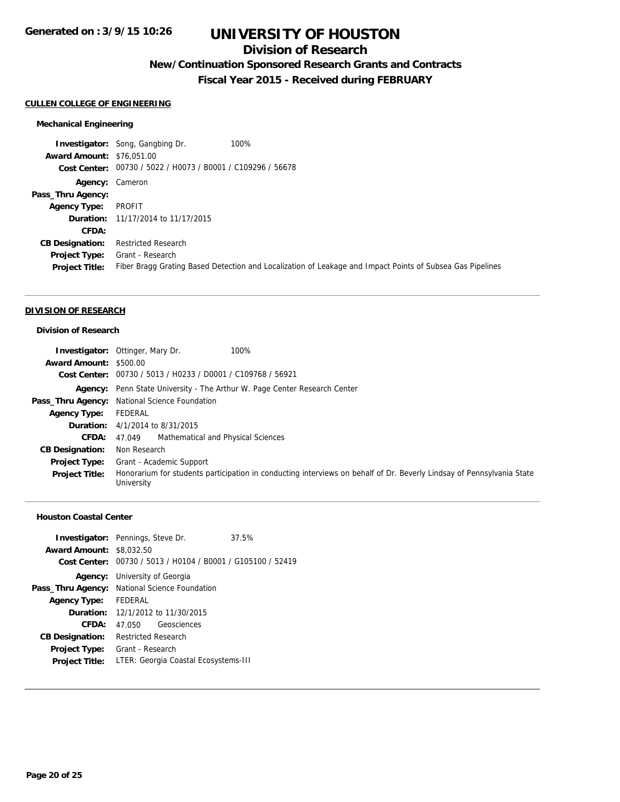## **Division of Research**

# **New/Continuation Sponsored Research Grants and Contracts**

**Fiscal Year 2015 - Received during FEBRUARY**

### **CULLEN COLLEGE OF ENGINEERING**

### **Mechanical Engineering**

|                                  | 100%<br><b>Investigator:</b> Song, Gangbing Dr.                                                           |
|----------------------------------|-----------------------------------------------------------------------------------------------------------|
| <b>Award Amount: \$76,051,00</b> |                                                                                                           |
|                                  | Cost Center: 00730 / 5022 / H0073 / B0001 / C109296 / 56678                                               |
| <b>Agency: Cameron</b>           |                                                                                                           |
| Pass_Thru Agency:                |                                                                                                           |
| <b>Agency Type:</b>              | PROFIT                                                                                                    |
|                                  | <b>Duration:</b> 11/17/2014 to 11/17/2015                                                                 |
| CFDA:                            |                                                                                                           |
| <b>CB Designation:</b>           | <b>Restricted Research</b>                                                                                |
| <b>Project Type:</b>             | Grant - Research                                                                                          |
| <b>Project Title:</b>            | Fiber Bragg Grating Based Detection and Localization of Leakage and Impact Points of Subsea Gas Pipelines |

#### **DIVISION OF RESEARCH**

#### **Division of Research**

|                        | 100%<br><b>Investigator:</b> Ottinger, Mary Dr.                                                                                     |  |
|------------------------|-------------------------------------------------------------------------------------------------------------------------------------|--|
| Award Amount: \$500.00 |                                                                                                                                     |  |
|                        | Cost Center: 00730 / 5013 / H0233 / D0001 / C109768 / 56921                                                                         |  |
|                        | Agency: Penn State University - The Arthur W. Page Center Research Center                                                           |  |
|                        | Pass_Thru Agency: National Science Foundation                                                                                       |  |
| <b>Agency Type:</b>    | FEDERAL                                                                                                                             |  |
|                        | <b>Duration:</b> $4/1/2014$ to $8/31/2015$                                                                                          |  |
| CFDA: 47.049           | Mathematical and Physical Sciences                                                                                                  |  |
| <b>CB Designation:</b> | Non Research                                                                                                                        |  |
| <b>Project Type:</b>   | Grant - Academic Support                                                                                                            |  |
| <b>Project Title:</b>  | Honorarium for students participation in conducting interviews on behalf of Dr. Beverly Lindsay of Pennsylvania State<br>University |  |

#### **Houston Coastal Center**

|                                 | <b>Investigator:</b> Pennings, Steve Dr.                    | 37.5% |
|---------------------------------|-------------------------------------------------------------|-------|
| <b>Award Amount: \$8,032.50</b> |                                                             |       |
|                                 | Cost Center: 00730 / 5013 / H0104 / B0001 / G105100 / 52419 |       |
|                                 | <b>Agency:</b> University of Georgia                        |       |
|                                 | Pass_Thru Agency: National Science Foundation               |       |
| <b>Agency Type:</b>             | FEDERAL                                                     |       |
|                                 | <b>Duration:</b> 12/1/2012 to 11/30/2015                    |       |
| CFDA:                           | 47.050 Geosciences                                          |       |
| <b>CB Designation:</b>          | <b>Restricted Research</b>                                  |       |
| <b>Project Type:</b>            | Grant - Research                                            |       |
| <b>Project Title:</b>           | LTER: Georgia Coastal Ecosystems-III                        |       |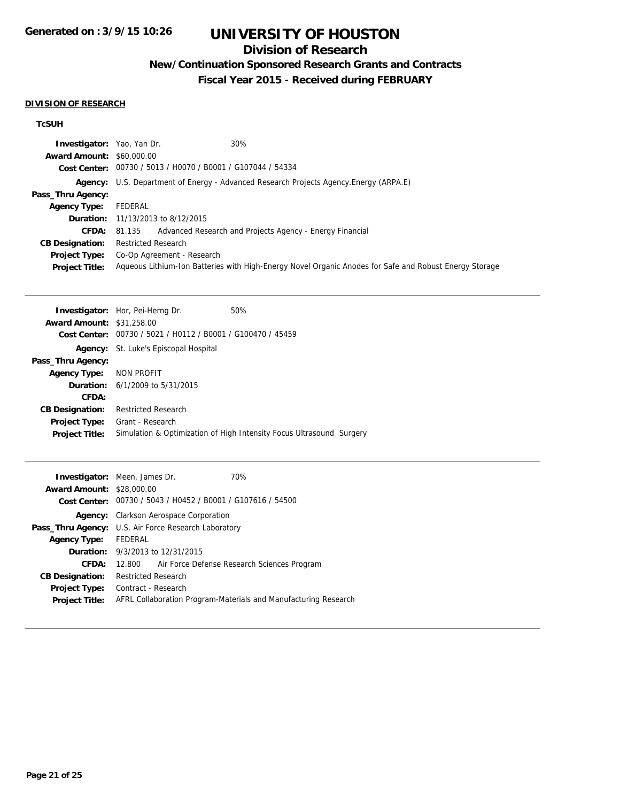# **Division of Research**

# **New/Continuation Sponsored Research Grants and Contracts**

**Fiscal Year 2015 - Received during FEBRUARY**

### **DIVISION OF RESEARCH**

## **TcSUH**

| <b>Investigator:</b> Yao, Yan Dr.<br><b>Award Amount: \$60,000.00</b> | Cost Center: 00730 / 5013 / H0070 / B0001 / G107044 / 54334 | 30%                                                                                                    |
|-----------------------------------------------------------------------|-------------------------------------------------------------|--------------------------------------------------------------------------------------------------------|
|                                                                       |                                                             |                                                                                                        |
|                                                                       |                                                             | Agency: U.S. Department of Energy - Advanced Research Projects Agency. Energy (ARPA.E)                 |
| Pass_Thru Agency:                                                     |                                                             |                                                                                                        |
| <b>Agency Type:</b>                                                   | FEDERAL                                                     |                                                                                                        |
|                                                                       | <b>Duration:</b> 11/13/2013 to 8/12/2015                    |                                                                                                        |
| <b>CFDA:</b>                                                          | 81.135                                                      | Advanced Research and Projects Agency - Energy Financial                                               |
| <b>CB Designation:</b>                                                | <b>Restricted Research</b>                                  |                                                                                                        |
| <b>Project Type:</b>                                                  | Co-Op Agreement - Research                                  |                                                                                                        |
| <b>Project Title:</b>                                                 |                                                             | Aqueous Lithium-Ion Batteries with High-Energy Novel Organic Anodes for Safe and Robust Energy Storage |
|                                                                       |                                                             |                                                                                                        |
|                                                                       | <b>Investigator:</b> Hor, Pei-Herng Dr.                     | 50%                                                                                                    |
| <b>Award Amount: \$31,258.00</b>                                      |                                                             |                                                                                                        |
| <b>Cost Center:</b>                                                   | 00730 / 5021 / H0112 / B0001 / G100470 / 45459              |                                                                                                        |
|                                                                       |                                                             |                                                                                                        |
|                                                                       | <b>Agency:</b> St. Luke's Episcopal Hospital                |                                                                                                        |
| Pass_Thru Agency:                                                     |                                                             |                                                                                                        |
| <b>Agency Type:</b>                                                   | NON PROFIT                                                  |                                                                                                        |

| CFDA:                 |                                                                      |  |
|-----------------------|----------------------------------------------------------------------|--|
|                       | <b>CB Designation:</b> Restricted Research                           |  |
|                       | <b>Project Type:</b> Grant - Research                                |  |
| <b>Project Title:</b> | Simulation & Optimization of High Intensity Focus Ultrasound Surgery |  |

| <b>Award Amount: \$28,000.00</b> | <b>Investigator:</b> Meen, James Dr.<br>70%<br>Cost Center: 00730 / 5043 / H0452 / B0001 / G107616 / 54500 |
|----------------------------------|------------------------------------------------------------------------------------------------------------|
|                                  | <b>Agency:</b> Clarkson Aerospace Corporation                                                              |
|                                  | <b>Pass_Thru Agency:</b> U.S. Air Force Research Laboratory                                                |
| <b>Agency Type:</b>              | FEDERAL                                                                                                    |
|                                  | <b>Duration:</b> 9/3/2013 to 12/31/2015                                                                    |
| CFDA:                            | Air Force Defense Research Sciences Program<br>12.800                                                      |
| <b>CB Designation:</b>           | <b>Restricted Research</b>                                                                                 |
| <b>Project Type:</b>             | Contract - Research                                                                                        |
| <b>Project Title:</b>            | AFRL Collaboration Program-Materials and Manufacturing Research                                            |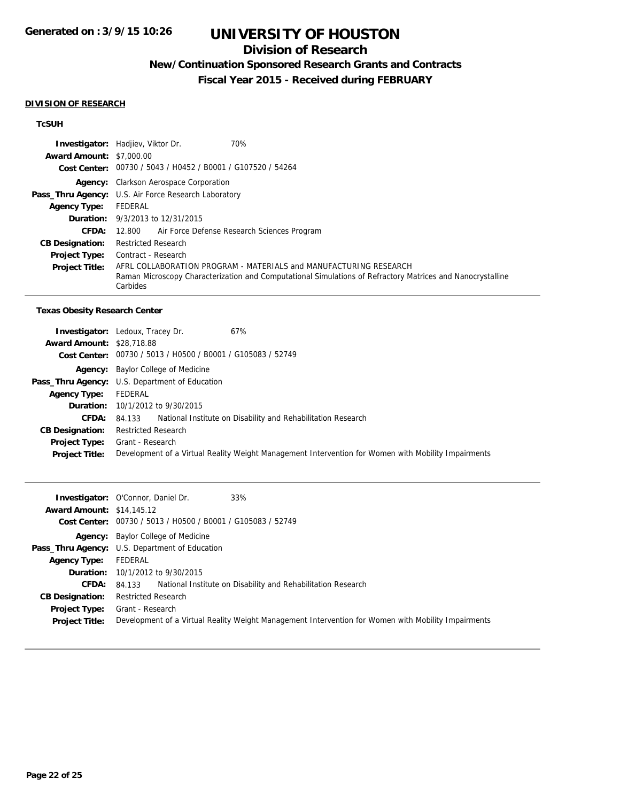## **Division of Research**

# **New/Continuation Sponsored Research Grants and Contracts**

**Fiscal Year 2015 - Received during FEBRUARY**

#### **DIVISION OF RESEARCH**

## **TcSUH**

|                                 | 70%<br><b>Investigator:</b> Hadjiev, Viktor Dr.                                                                        |
|---------------------------------|------------------------------------------------------------------------------------------------------------------------|
| <b>Award Amount: \$7,000.00</b> |                                                                                                                        |
|                                 | Cost Center: 00730 / 5043 / H0452 / B0001 / G107520 / 54264                                                            |
|                                 | <b>Agency:</b> Clarkson Aerospace Corporation                                                                          |
|                                 | Pass_Thru Agency: U.S. Air Force Research Laboratory                                                                   |
| <b>Agency Type:</b>             | FEDERAL                                                                                                                |
|                                 | <b>Duration:</b> 9/3/2013 to 12/31/2015                                                                                |
| <b>CFDA:</b>                    | Air Force Defense Research Sciences Program<br>12.800                                                                  |
| <b>CB Designation:</b>          | <b>Restricted Research</b>                                                                                             |
| <b>Project Type:</b>            | Contract - Research                                                                                                    |
| <b>Project Title:</b>           | AFRL COLLABORATION PROGRAM - MATERIALS and MANUFACTURING RESEARCH                                                      |
|                                 | Raman Microscopy Characterization and Computational Simulations of Refractory Matrices and Nanocrystalline<br>Carbides |

#### **Texas Obesity Research Center**

|                                  | 67%<br><b>Investigator:</b> Ledoux, Tracey Dr.                                                      |
|----------------------------------|-----------------------------------------------------------------------------------------------------|
| <b>Award Amount: \$28,718.88</b> |                                                                                                     |
|                                  | Cost Center: 00730 / 5013 / H0500 / B0001 / G105083 / 52749                                         |
|                                  | <b>Agency:</b> Baylor College of Medicine                                                           |
|                                  | <b>Pass_Thru Agency:</b> U.S. Department of Education                                               |
| <b>Agency Type:</b>              | FEDERAL                                                                                             |
|                                  | <b>Duration:</b> 10/1/2012 to 9/30/2015                                                             |
| <b>CFDA:</b>                     | 84.133 National Institute on Disability and Rehabilitation Research                                 |
| <b>CB Designation:</b>           | <b>Restricted Research</b>                                                                          |
| <b>Project Type:</b>             | Grant - Research                                                                                    |
| <b>Project Title:</b>            | Development of a Virtual Reality Weight Management Intervention for Women with Mobility Impairments |

| <b>Award Amount: \$14,145.12</b> | <b>Investigator:</b> O'Connor, Daniel Dr.<br>33%<br>Cost Center: 00730 / 5013 / H0500 / B0001 / G105083 / 52749 |
|----------------------------------|-----------------------------------------------------------------------------------------------------------------|
|                                  | <b>Agency:</b> Baylor College of Medicine                                                                       |
|                                  | Pass_Thru Agency: U.S. Department of Education                                                                  |
| <b>Agency Type:</b>              | FEDERAL                                                                                                         |
|                                  | <b>Duration:</b> 10/1/2012 to 9/30/2015                                                                         |
| CFDA:                            | National Institute on Disability and Rehabilitation Research<br>84.133                                          |
| <b>CB Designation:</b>           | <b>Restricted Research</b>                                                                                      |
| <b>Project Type:</b>             | Grant - Research                                                                                                |
| <b>Project Title:</b>            | Development of a Virtual Reality Weight Management Intervention for Women with Mobility Impairments             |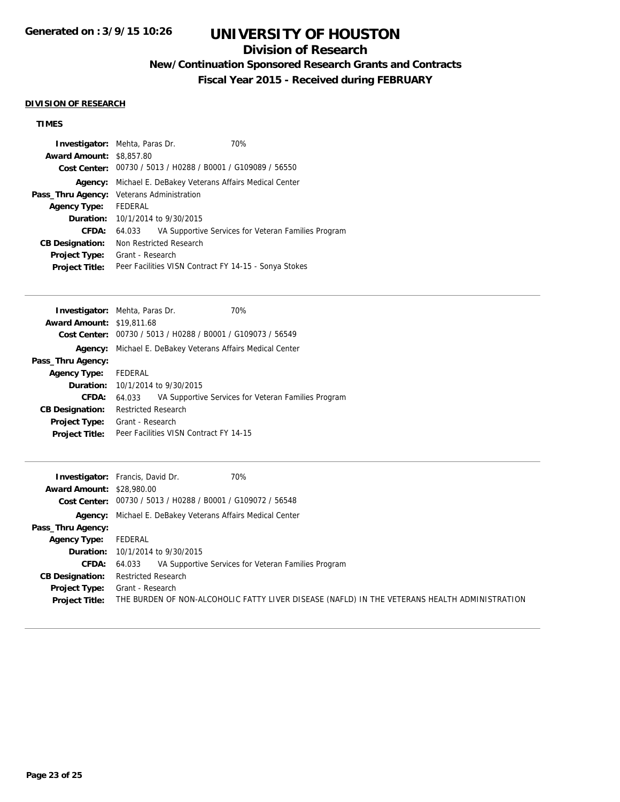## **Division of Research**

**New/Continuation Sponsored Research Grants and Contracts**

**Fiscal Year 2015 - Received during FEBRUARY**

### **DIVISION OF RESEARCH**

## **TIMES**

| <b>Investigator:</b> Mehta, Paras Dr. |                                                             |  | 70%                                                 |
|---------------------------------------|-------------------------------------------------------------|--|-----------------------------------------------------|
| <b>Award Amount: \$8,857.80</b>       |                                                             |  |                                                     |
|                                       | Cost Center: 00730 / 5013 / H0288 / B0001 / G109089 / 56550 |  |                                                     |
| Agency:                               | Michael E. DeBakey Veterans Affairs Medical Center          |  |                                                     |
|                                       | Pass_Thru Agency: Veterans Administration                   |  |                                                     |
| <b>Agency Type:</b>                   | FEDERAL                                                     |  |                                                     |
|                                       | <b>Duration:</b> 10/1/2014 to 9/30/2015                     |  |                                                     |
| <b>CFDA:</b>                          | 64.033                                                      |  | VA Supportive Services for Veteran Families Program |
| <b>CB Designation:</b>                | Non Restricted Research                                     |  |                                                     |
| <b>Project Type:</b>                  | Grant - Research                                            |  |                                                     |
| <b>Project Title:</b>                 | Peer Facilities VISN Contract FY 14-15 - Sonya Stokes       |  |                                                     |

| <b>Investigator:</b> Mehta, Paras Dr. |                            |                                                             | 70%                                                 |
|---------------------------------------|----------------------------|-------------------------------------------------------------|-----------------------------------------------------|
| <b>Award Amount: \$19,811.68</b>      |                            |                                                             |                                                     |
|                                       |                            | Cost Center: 00730 / 5013 / H0288 / B0001 / G109073 / 56549 |                                                     |
| Agency:                               |                            | Michael E. DeBakey Veterans Affairs Medical Center          |                                                     |
| Pass_Thru Agency:                     |                            |                                                             |                                                     |
| Agency Type: FEDERAL                  |                            |                                                             |                                                     |
|                                       |                            | <b>Duration:</b> 10/1/2014 to 9/30/2015                     |                                                     |
| CFDA:                                 | 64.033                     |                                                             | VA Supportive Services for Veteran Families Program |
| <b>CB Designation:</b>                | <b>Restricted Research</b> |                                                             |                                                     |
| <b>Project Type:</b>                  | Grant - Research           |                                                             |                                                     |
| <b>Project Title:</b>                 |                            | Peer Facilities VISN Contract FY 14-15                      |                                                     |
|                                       |                            |                                                             |                                                     |

| <b>Award Amount: \$28,980.00</b> | <b>Investigator:</b> Francis, David Dr.<br>70%                                                |
|----------------------------------|-----------------------------------------------------------------------------------------------|
|                                  | Cost Center: 00730 / 5013 / H0288 / B0001 / G109072 / 56548                                   |
|                                  | <b>Agency:</b> Michael E. DeBakey Veterans Affairs Medical Center                             |
| Pass_Thru Agency:                |                                                                                               |
| <b>Agency Type:</b>              | FEDERAL                                                                                       |
|                                  | <b>Duration:</b> 10/1/2014 to 9/30/2015                                                       |
| <b>CFDA:</b>                     | VA Supportive Services for Veteran Families Program<br>64.033                                 |
| <b>CB Designation:</b>           | <b>Restricted Research</b>                                                                    |
| <b>Project Type:</b>             | Grant - Research                                                                              |
| <b>Project Title:</b>            | THE BURDEN OF NON-ALCOHOLIC FATTY LIVER DISEASE (NAFLD) IN THE VETERANS HEALTH ADMINISTRATION |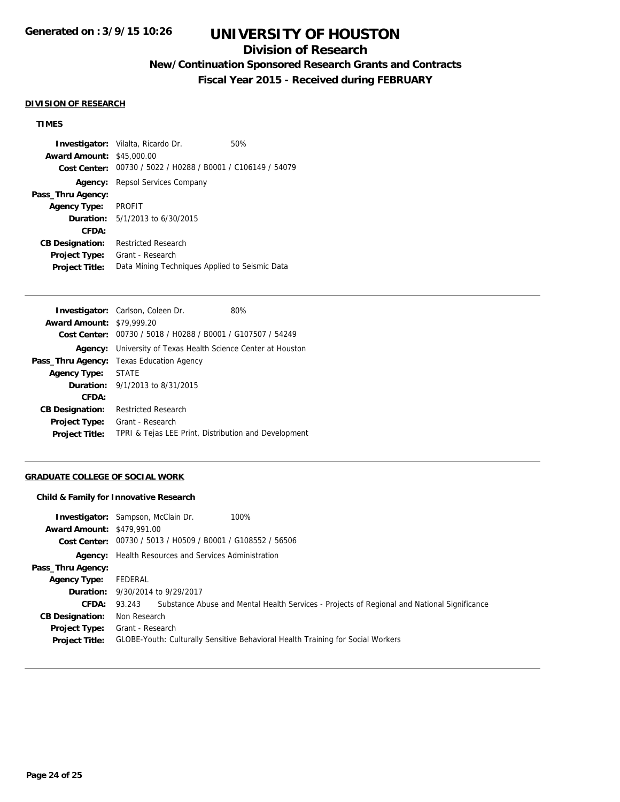## **Division of Research**

# **New/Continuation Sponsored Research Grants and Contracts**

**Fiscal Year 2015 - Received during FEBRUARY**

#### **DIVISION OF RESEARCH**

## **TIMES**

**Investigator:** Vilalta, Ricardo Dr. 60% **Award Amount:** \$45,000.00 **Cost Center:** 00730 / 5022 / H0288 / B0001 / C106149 / 54079 **Agency:** Repsol Services Company **Pass\_Thru Agency: Agency Type:** PROFIT **Duration:** 5/1/2013 to 6/30/2015 **CFDA: CB Designation:** Restricted Research **Project Type:** Grant - Research **Project Title:** Data Mining Techniques Applied to Seismic Data

|                                  | Investigator: Carlson, Coleen Dr.                           | 80% |
|----------------------------------|-------------------------------------------------------------|-----|
| <b>Award Amount: \$79,999.20</b> |                                                             |     |
|                                  | Cost Center: 00730 / 5018 / H0288 / B0001 / G107507 / 54249 |     |
| Agency:                          | University of Texas Health Science Center at Houston        |     |
|                                  | <b>Pass_Thru Agency:</b> Texas Education Agency             |     |
| Agency Type:                     | <b>STATE</b>                                                |     |
|                                  | <b>Duration:</b> $9/1/2013$ to $8/31/2015$                  |     |
| CFDA:                            |                                                             |     |
| <b>CB Designation:</b>           | <b>Restricted Research</b>                                  |     |
| <b>Project Type:</b>             | Grant - Research                                            |     |
| <b>Project Title:</b>            | TPRI & Tejas LEE Print, Distribution and Development        |     |
|                                  |                                                             |     |

#### **GRADUATE COLLEGE OF SOCIAL WORK**

#### **Child & Family for Innovative Research**

| <b>Award Amount: \$479,991.00</b>             | 100%<br><b>Investigator:</b> Sampson, McClain Dr.<br>Cost Center: 00730 / 5013 / H0509 / B0001 / G108552 / 56506 |
|-----------------------------------------------|------------------------------------------------------------------------------------------------------------------|
|                                               | <b>Agency:</b> Health Resources and Services Administration                                                      |
| Pass_Thru Agency:                             |                                                                                                                  |
| <b>Agency Type:</b>                           | FEDERAL                                                                                                          |
|                                               | <b>Duration:</b> 9/30/2014 to 9/29/2017                                                                          |
|                                               | <b>CFDA:</b> 93.243 Substance Abuse and Mental Health Services - Projects of Regional and National Significance  |
| <b>CB Designation:</b>                        | Non Research                                                                                                     |
| <b>Project Type:</b><br><b>Project Title:</b> | Grant - Research<br>GLOBE-Youth: Culturally Sensitive Behavioral Health Training for Social Workers              |